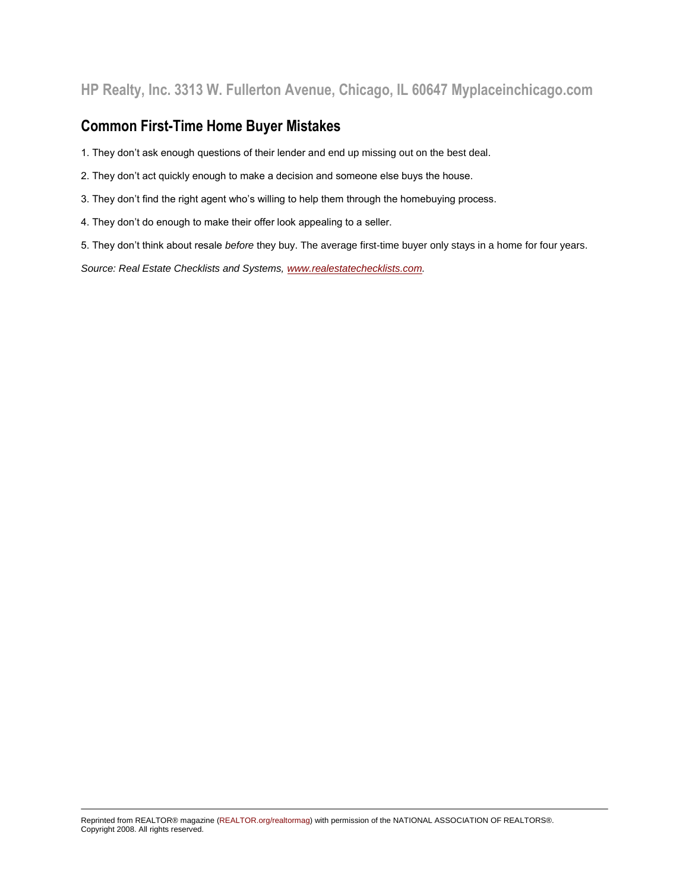### **Common First-Time Home Buyer Mistakes**

- 1. They don't ask enough questions of their lender and end up missing out on the best deal.
- 2. They don't act quickly enough to make a decision and someone else buys the house.
- 3. They don't find the right agent who's willing to help them through the homebuying process.
- 4. They don't do enough to make their offer look appealing to a seller.
- 5. They don't think about resale *before* they buy. The average first-time buyer only stays in a home for four years.

*Source: Real Estate Checklists and Systems, [www.realestatechecklists.com.](http://www.realestatechecklists.com/)*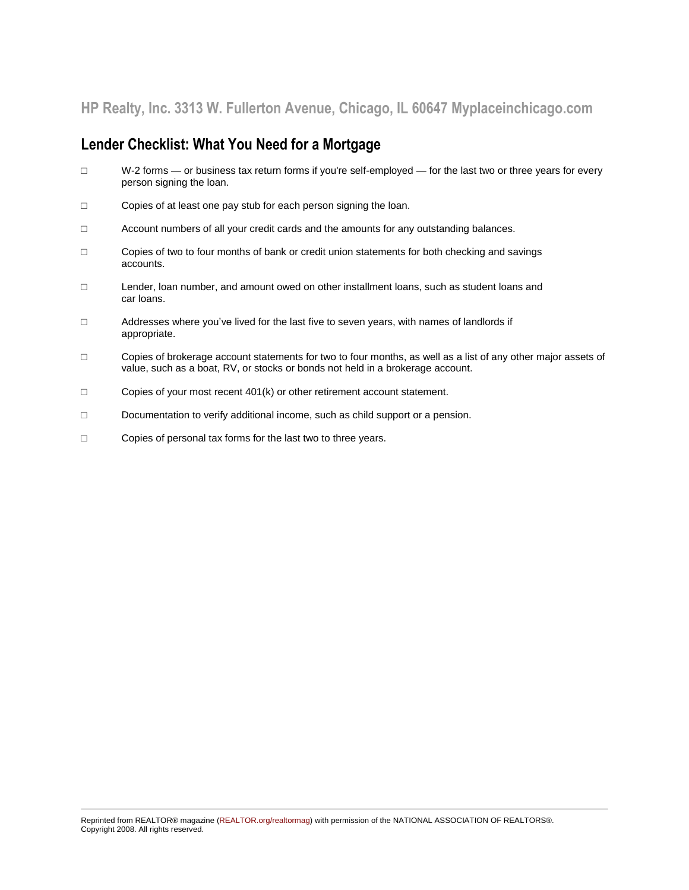### **Lender Checklist: What You Need for a Mortgage**

- □ W-2 forms or business tax return forms if you're self-employed for the last two or three years for every person signing the loan.
- □ Copies of at least one pay stub for each person signing the loan.
- □ Account numbers of all your credit cards and the amounts for any outstanding balances.
- □ Copies of two to four months of bank or credit union statements for both checking and savings accounts.
- □ Lender, loan number, and amount owed on other installment loans, such as student loans and car loans.
- □ Addresses where you've lived for the last five to seven years, with names of landlords if appropriate.
- □ Copies of brokerage account statements for two to four months, as well as a list of any other major assets of value, such as a boat, RV, or stocks or bonds not held in a brokerage account.
- □ Copies of your most recent 401(k) or other retirement account statement.
- □ Documentation to verify additional income, such as child support or a pension.
- □ Copies of personal tax forms for the last two to three years.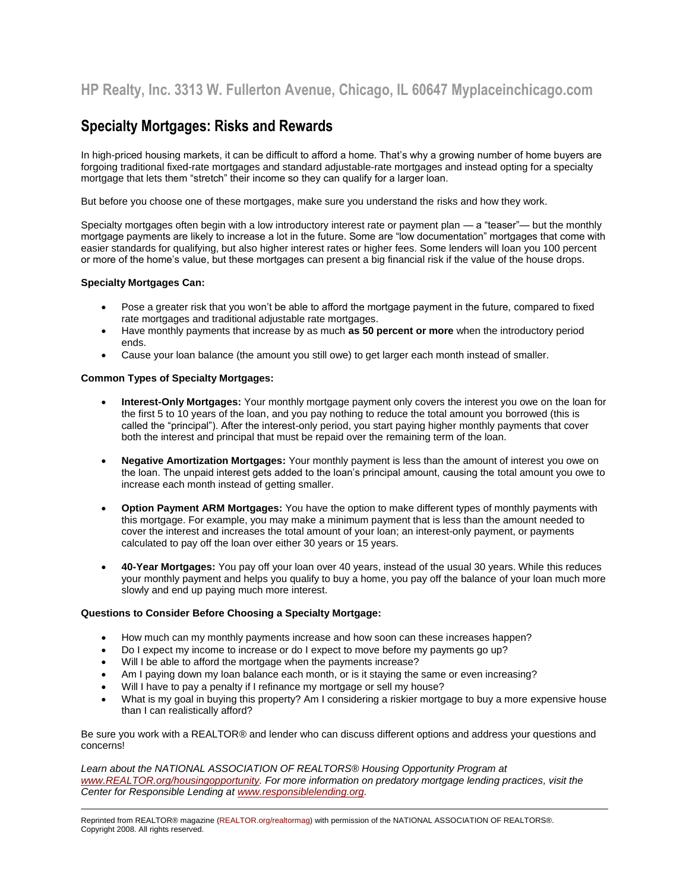### **Specialty Mortgages: Risks and Rewards**

In high-priced housing markets, it can be difficult to afford a home. That's why a growing number of home buyers are forgoing traditional fixed-rate mortgages and standard adjustable-rate mortgages and instead opting for a specialty mortgage that lets them "stretch" their income so they can qualify for a larger loan.

But before you choose one of these mortgages, make sure you understand the risks and how they work.

Specialty mortgages often begin with a low introductory interest rate or payment plan — a "teaser"— but the monthly mortgage payments are likely to increase a lot in the future. Some are "low documentation" mortgages that come with easier standards for qualifying, but also higher interest rates or higher fees. Some lenders will loan you 100 percent or more of the home's value, but these mortgages can present a big financial risk if the value of the house drops.

#### **Specialty Mortgages Can:**

- Pose a greater risk that you won't be able to afford the mortgage payment in the future, compared to fixed rate mortgages and traditional adjustable rate mortgages.
- Have monthly payments that increase by as much **as 50 percent or more** when the introductory period ends.
- Cause your loan balance (the amount you still owe) to get larger each month instead of smaller.

#### **Common Types of Specialty Mortgages:**

- **Interest-Only Mortgages:** Your monthly mortgage payment only covers the interest you owe on the loan for the first 5 to 10 years of the loan, and you pay nothing to reduce the total amount you borrowed (this is called the "principal"). After the interest-only period, you start paying higher monthly payments that cover both the interest and principal that must be repaid over the remaining term of the loan.
- **Negative Amortization Mortgages:** Your monthly payment is less than the amount of interest you owe on the loan. The unpaid interest gets added to the loan's principal amount, causing the total amount you owe to increase each month instead of getting smaller.
- **Option Payment ARM Mortgages:** You have the option to make different types of monthly payments with this mortgage. For example, you may make a minimum payment that is less than the amount needed to cover the interest and increases the total amount of your loan; an interest-only payment, or payments calculated to pay off the loan over either 30 years or 15 years.
- **40-Year Mortgages:** You pay off your loan over 40 years, instead of the usual 30 years. While this reduces your monthly payment and helps you qualify to buy a home, you pay off the balance of your loan much more slowly and end up paying much more interest.

#### **Questions to Consider Before Choosing a Specialty Mortgage:**

- How much can my monthly payments increase and how soon can these increases happen?
- Do I expect my income to increase or do I expect to move before my payments go up?
- Will I be able to afford the mortgage when the payments increase?
- Am I paying down my loan balance each month, or is it staying the same or even increasing?
- Will I have to pay a penalty if I refinance my mortgage or sell my house?
- What is my goal in buying this property? Am I considering a riskier mortgage to buy a more expensive house than I can realistically afford?

Be sure you work with a REALTOR® and lender who can discuss different options and address your questions and concerns!

*Learn about the NATIONAL ASSOCIATION OF REALTORS® Housing Opportunity Program at [www.REALTOR.org/housingopportunity.](http://www.realtors.org/housingopportunity) For more information on predatory mortgage lending practices, visit the Center for Responsible Lending at www.responsiblelending.org.*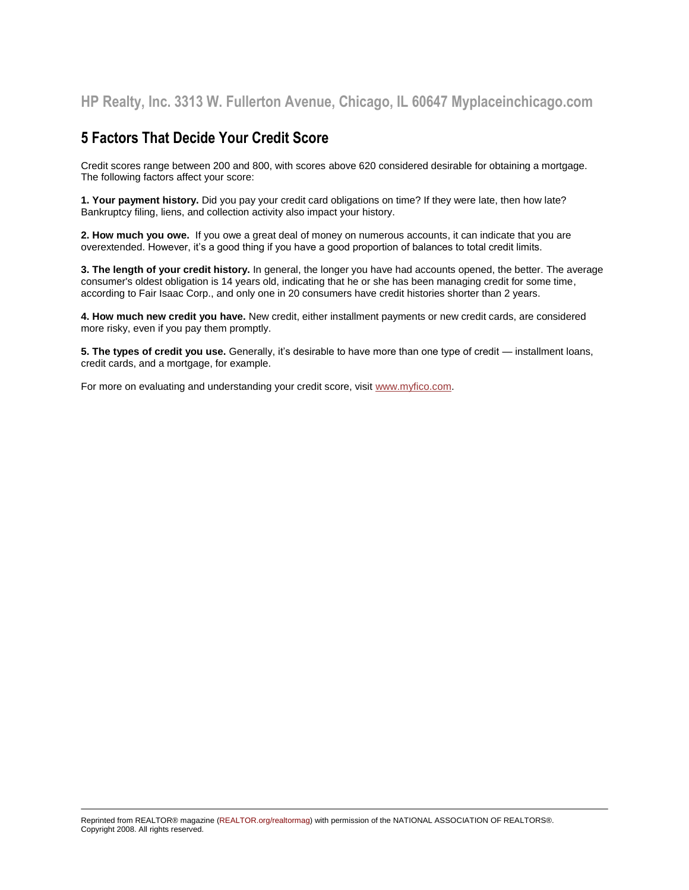### **5 Factors That Decide Your Credit Score**

Credit scores range between 200 and 800, with scores above 620 considered desirable for obtaining a mortgage. The following factors affect your score:

**1. Your payment history.** Did you pay your credit card obligations on time? If they were late, then how late? Bankruptcy filing, liens, and collection activity also impact your history.

**2. How much you owe.** If you owe a great deal of money on numerous accounts, it can indicate that you are overextended. However, it's a good thing if you have a good proportion of balances to total credit limits.

**3. The length of your credit history.** In general, the longer you have had accounts opened, the better. The average consumer's oldest obligation is 14 years old, indicating that he or she has been managing credit for some time, according to Fair Isaac Corp., and only one in 20 consumers have credit histories shorter than 2 years.

**4. How much new credit you have.** New credit, either installment payments or new credit cards, are considered more risky, even if you pay them promptly.

**5. The types of credit you use.** Generally, it's desirable to have more than one type of credit — installment loans, credit cards, and a mortgage, for example.

For more on evaluating and understanding your credit score, visi[t www.myfico.com.](http://www.myfico.com/CreditEducation/?fire=1)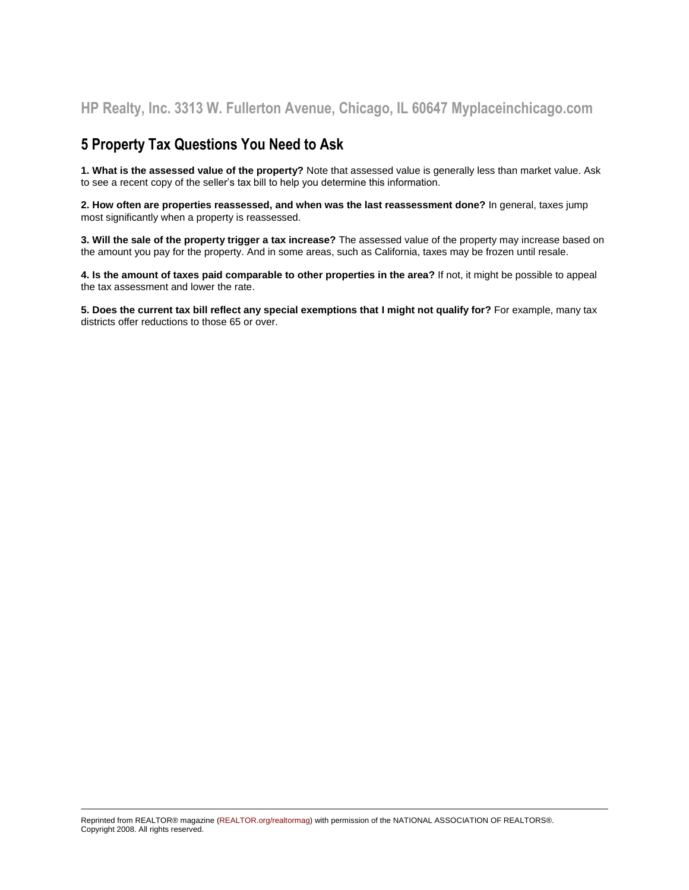### **5 Property Tax Questions You Need to Ask**

**1. What is the assessed value of the property?** Note that assessed value is generally less than market value. Ask to see a recent copy of the seller's tax bill to help you determine this information.

**2. How often are properties reassessed, and when was the last reassessment done?** In general, taxes jump most significantly when a property is reassessed.

**3. Will the sale of the property trigger a tax increase?** The assessed value of the property may increase based on the amount you pay for the property. And in some areas, such as California, taxes may be frozen until resale.

**4. Is the amount of taxes paid comparable to other properties in the area?** If not, it might be possible to appeal the tax assessment and lower the rate.

**5. Does the current tax bill reflect any special exemptions that I might not qualify for?** For example, many tax districts offer reductions to those 65 or over.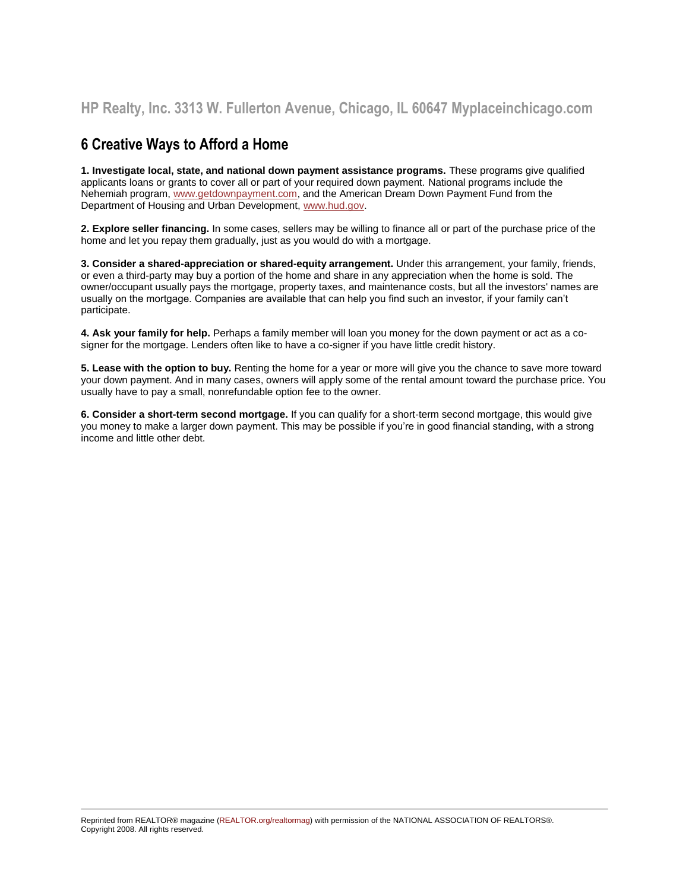### **6 Creative Ways to Afford a Home**

**1. Investigate local, state, and national down payment assistance programs.** These programs give qualified applicants loans or grants to cover all or part of your required down payment. National programs include the Nehemiah program, [www.getdownpayment.com,](http://www.getdownpayment.com/) and the American Dream Down Payment Fund from the Department of Housing and Urban Development[, www.hud.gov.](http://www.hud.gov/)

**2. Explore seller financing.** In some cases, sellers may be willing to finance all or part of the purchase price of the home and let you repay them gradually, just as you would do with a mortgage.

**3. Consider a shared-appreciation or shared-equity arrangement.** Under this arrangement, your family, friends, or even a third-party may buy a portion of the home and share in any appreciation when the home is sold. The owner/occupant usually pays the mortgage, property taxes, and maintenance costs, but all the investors' names are usually on the mortgage. Companies are available that can help you find such an investor, if your family can't participate.

**4. Ask your family for help.** Perhaps a family member will loan you money for the down payment or act as a cosigner for the mortgage. Lenders often like to have a co-signer if you have little credit history.

**5. Lease with the option to buy.** Renting the home for a year or more will give you the chance to save more toward your down payment. And in many cases, owners will apply some of the rental amount toward the purchase price. You usually have to pay a small, nonrefundable option fee to the owner.

**6. Consider a short-term second mortgage.** If you can qualify for a short-term second mortgage, this would give you money to make a larger down payment. This may be possible if you're in good financial standing, with a strong income and little other debt.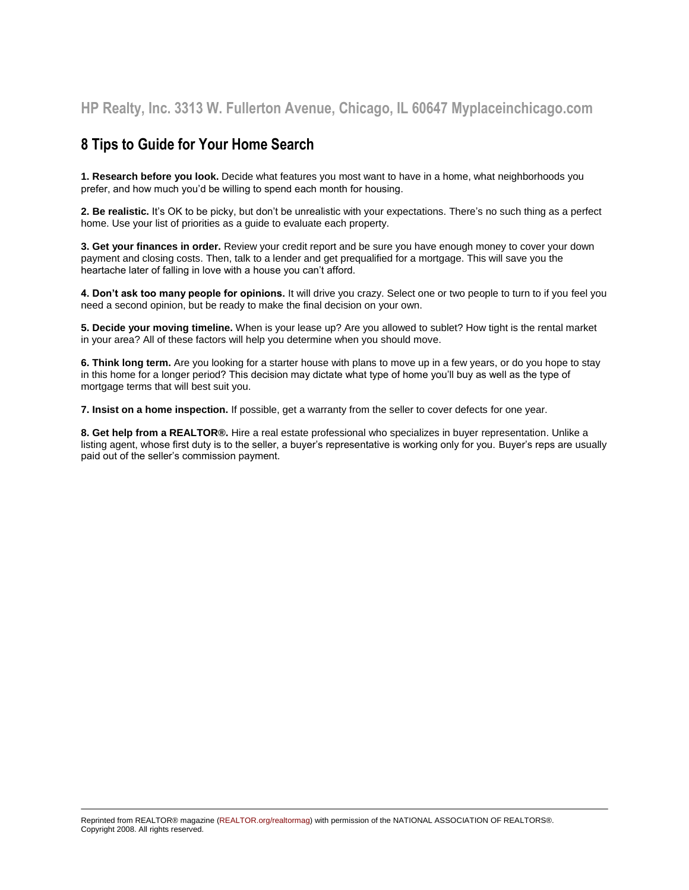### **8 Tips to Guide for Your Home Search**

**1. Research before you look.** Decide what features you most want to have in a home, what neighborhoods you prefer, and how much you'd be willing to spend each month for housing.

**2. Be realistic.** It's OK to be picky, but don't be unrealistic with your expectations. There's no such thing as a perfect home. Use your list of priorities as a guide to evaluate each property.

**3. Get your finances in order.** Review your credit report and be sure you have enough money to cover your down payment and closing costs. Then, talk to a lender and get prequalified for a mortgage. This will save you the heartache later of falling in love with a house you can't afford.

**4. Don't ask too many people for opinions.** It will drive you crazy. Select one or two people to turn to if you feel you need a second opinion, but be ready to make the final decision on your own.

**5. Decide your moving timeline.** When is your lease up? Are you allowed to sublet? How tight is the rental market in your area? All of these factors will help you determine when you should move.

**6. Think long term.** Are you looking for a starter house with plans to move up in a few years, or do you hope to stay in this home for a longer period? This decision may dictate what type of home you'll buy as well as the type of mortgage terms that will best suit you.

**7. Insist on a home inspection.** If possible, get a warranty from the seller to cover defects for one year.

**8. Get help from a REALTOR®.** Hire a real estate professional who specializes in buyer representation. Unlike a listing agent, whose first duty is to the seller, a buyer's representative is working only for you. Buyer's reps are usually paid out of the seller's commission payment.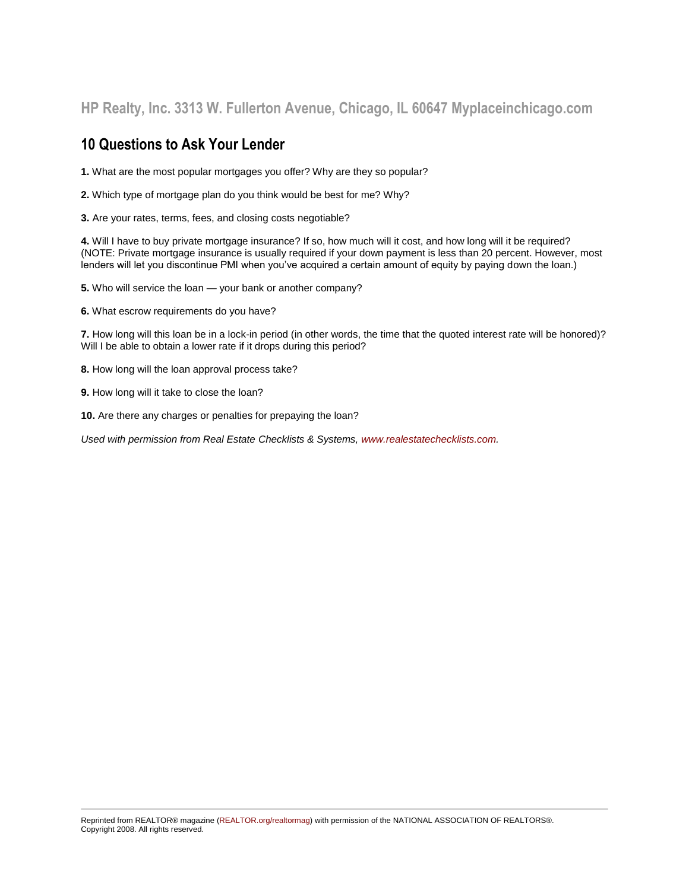### **10 Questions to Ask Your Lender**

**1.** What are the most popular mortgages you offer? Why are they so popular?

**2.** Which type of mortgage plan do you think would be best for me? Why?

**3.** Are your rates, terms, fees, and closing costs negotiable?

**4.** Will I have to buy private mortgage insurance? If so, how much will it cost, and how long will it be required? (NOTE: Private mortgage insurance is usually required if your down payment is less than 20 percent. However, most lenders will let you discontinue PMI when you've acquired a certain amount of equity by paying down the loan.)

**5.** Who will service the loan — your bank or another company?

**6.** What escrow requirements do you have?

**7.** How long will this loan be in a lock-in period (in other words, the time that the quoted interest rate will be honored)? Will I be able to obtain a lower rate if it drops during this period?

**8.** How long will the loan approval process take?

**9.** How long will it take to close the loan?

**10.** Are there any charges or penalties for prepaying the loan?

*Used with permission from Real Estate Checklists & Systems, [www.realestatechecklists.com.](http://www.realestatechecklists.com/)*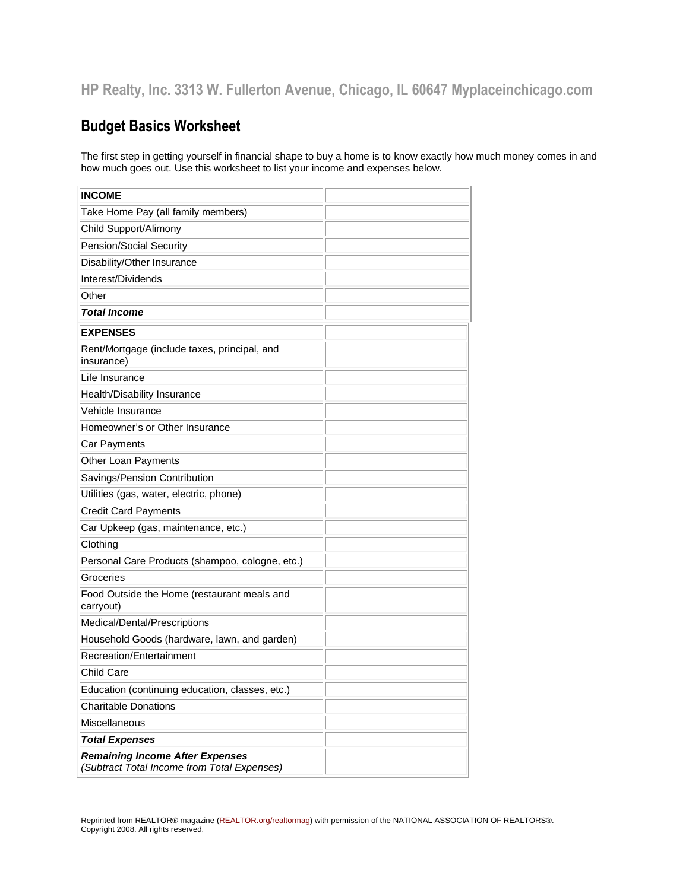# **Budget Basics Worksheet**

The first step in getting yourself in financial shape to buy a home is to know exactly how much money comes in and how much goes out. Use this worksheet to list your income and expenses below.

| <b>INCOME</b>                                                                         |  |
|---------------------------------------------------------------------------------------|--|
| Take Home Pay (all family members)                                                    |  |
| Child Support/Alimony                                                                 |  |
| Pension/Social Security                                                               |  |
| Disability/Other Insurance                                                            |  |
| Interest/Dividends                                                                    |  |
| Other                                                                                 |  |
| <b>Total Income</b>                                                                   |  |
| <b>EXPENSES</b>                                                                       |  |
| Rent/Mortgage (include taxes, principal, and<br>insurance)                            |  |
| Life Insurance                                                                        |  |
| Health/Disability Insurance                                                           |  |
| Vehicle Insurance                                                                     |  |
| Homeowner's or Other Insurance                                                        |  |
| Car Payments                                                                          |  |
| Other Loan Payments                                                                   |  |
| Savings/Pension Contribution                                                          |  |
| Utilities (gas, water, electric, phone)                                               |  |
| <b>Credit Card Payments</b>                                                           |  |
| Car Upkeep (gas, maintenance, etc.)                                                   |  |
| Clothing                                                                              |  |
| Personal Care Products (shampoo, cologne, etc.)                                       |  |
| Groceries                                                                             |  |
| Food Outside the Home (restaurant meals and<br>carryout)                              |  |
| Medical/Dental/Prescriptions                                                          |  |
| Household Goods (hardware, lawn, and garden)                                          |  |
| Recreation/Entertainment                                                              |  |
| <b>Child Care</b>                                                                     |  |
| Education (continuing education, classes, etc.)                                       |  |
| <b>Charitable Donations</b>                                                           |  |
| Miscellaneous                                                                         |  |
| <b>Total Expenses</b>                                                                 |  |
| <b>Remaining Income After Expenses</b><br>(Subtract Total Income from Total Expenses) |  |

Reprinted from REALTOR® magazine (REALTOR.org/realtormag) with permission of the NATIONAL ASSOCIATION OF REALTORS®. Copyright 2008. All rights reserved.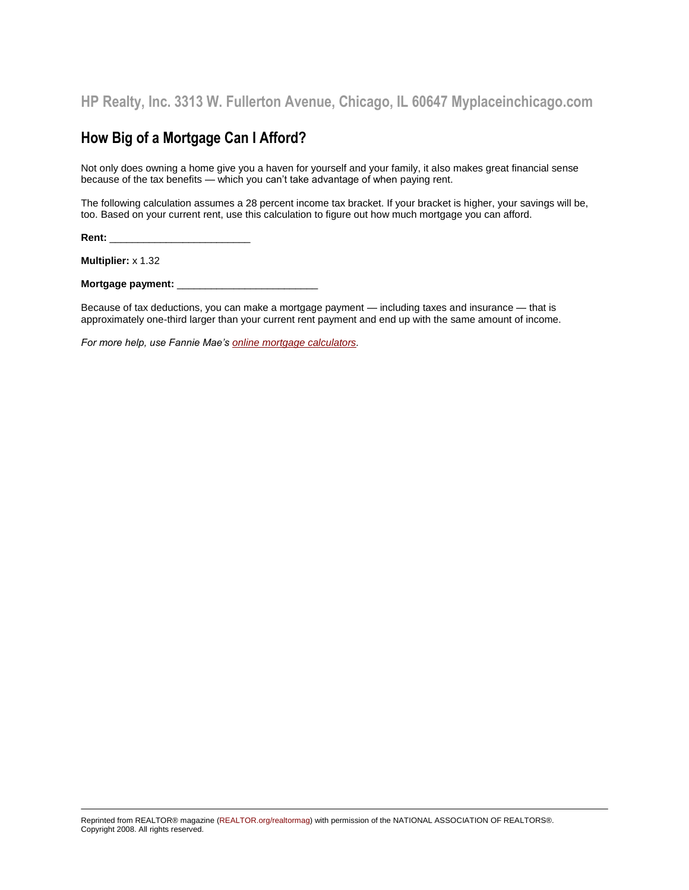### **How Big of a Mortgage Can I Afford?**

Not only does owning a home give you a haven for yourself and your family, it also makes great financial sense because of the tax benefits — which you can't take advantage of when paying rent.

The following calculation assumes a 28 percent income tax bracket. If your bracket is higher, your savings will be, too. Based on your current rent, use this calculation to figure out how much mortgage you can afford.

**Rent:** \_\_\_\_\_\_\_\_\_\_\_\_\_\_\_\_\_\_\_\_\_\_\_\_\_

**Multiplier:** x 1.32

**Mortgage payment:** \_\_\_\_\_\_\_\_\_\_\_\_\_\_\_\_\_\_\_\_\_\_\_\_\_

Because of tax deductions, you can make a mortgage payment — including taxes and insurance — that is approximately one-third larger than your current rent payment and end up with the same amount of income.

*For more help, use Fannie Mae's [online mortgage calculators.](http://www.fanniemae.com/homebuyers/calculators/index.jhtml?p=Resources&s=Calculators)*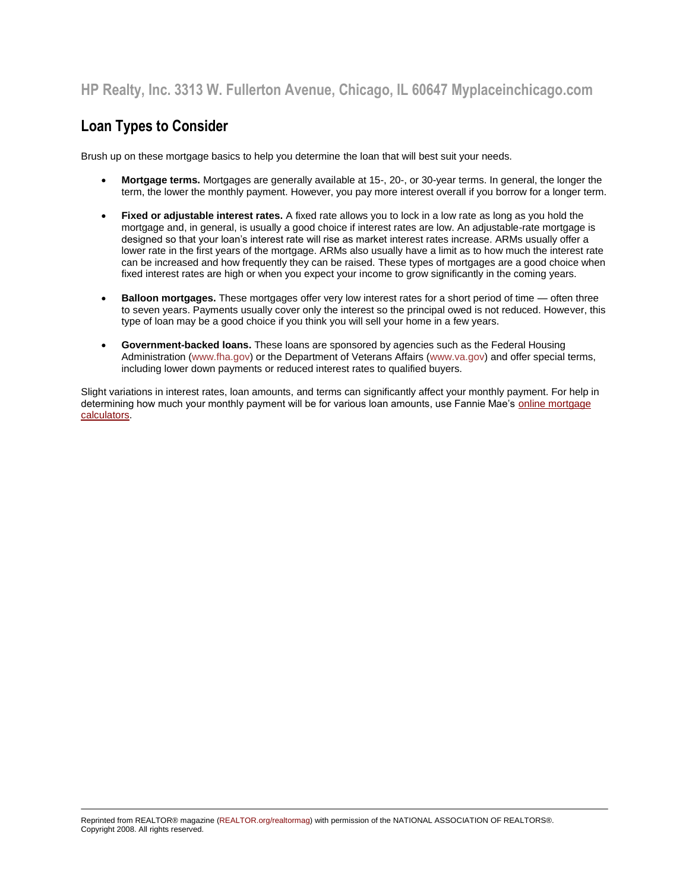# **Loan Types to Consider**

Brush up on these mortgage basics to help you determine the loan that will best suit your needs.

- **Mortgage terms.** Mortgages are generally available at 15-, 20-, or 30-year terms. In general, the longer the term, the lower the monthly payment. However, you pay more interest overall if you borrow for a longer term.
- **Fixed or adjustable interest rates.** A fixed rate allows you to lock in a low rate as long as you hold the mortgage and, in general, is usually a good choice if interest rates are low. An adjustable-rate mortgage is designed so that your loan's interest rate will rise as market interest rates increase. ARMs usually offer a lower rate in the first years of the mortgage. ARMs also usually have a limit as to how much the interest rate can be increased and how frequently they can be raised. These types of mortgages are a good choice when fixed interest rates are high or when you expect your income to grow significantly in the coming years.
- **Balloon mortgages.** These mortgages offer very low interest rates for a short period of time often three to seven years. Payments usually cover only the interest so the principal owed is not reduced. However, this type of loan may be a good choice if you think you will sell your home in a few years.
- **Government-backed loans.** These loans are sponsored by agencies such as the Federal Housing Administration [\(www.fha.gov\)](http://www.fha.gov/) or the Department of Veterans Affairs [\(www.va.gov\)](http://www.va.gov/) and offer special terms, including lower down payments or reduced interest rates to qualified buyers.

Slight variations in interest rates, loan amounts, and terms can significantly affect your monthly payment. For help in determining how much your monthly payment will be for various loan amounts, use Fannie Mae's [online mortgage](http://www.fanniemae.com/homebuyers/calculators/index.jhtml?p=Resources&s=Calculators)  [calculators.](http://www.fanniemae.com/homebuyers/calculators/index.jhtml?p=Resources&s=Calculators)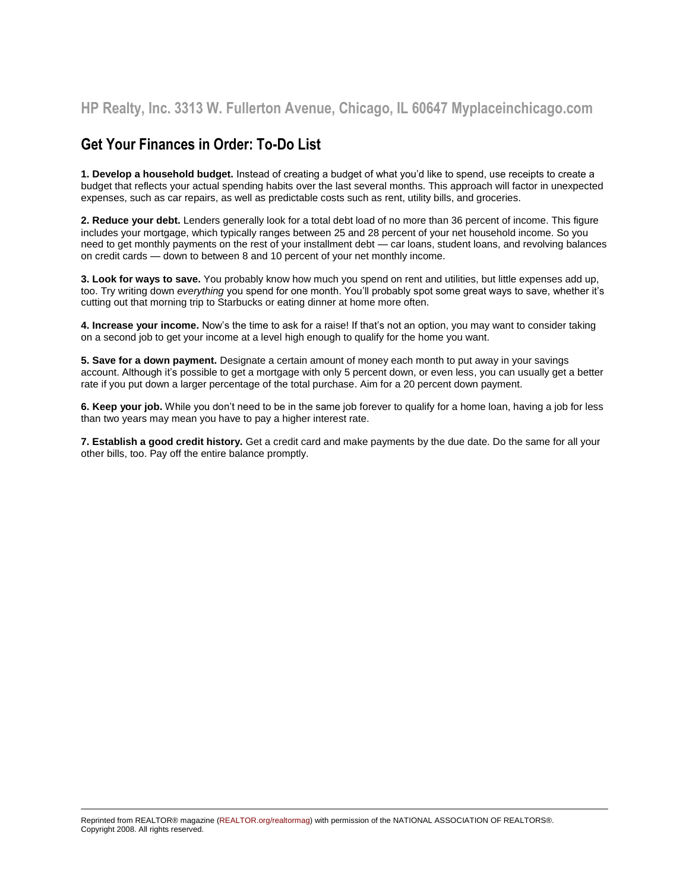# **Get Your Finances in Order: To-Do List**

**1. Develop a household budget.** Instead of creating a budget of what you'd like to spend, use receipts to create a budget that reflects your actual spending habits over the last several months. This approach will factor in unexpected expenses, such as car repairs, as well as predictable costs such as rent, utility bills, and groceries.

**2. Reduce your debt.** Lenders generally look for a total debt load of no more than 36 percent of income. This figure includes your mortgage, which typically ranges between 25 and 28 percent of your net household income. So you need to get monthly payments on the rest of your installment debt — car loans, student loans, and revolving balances on credit cards — down to between 8 and 10 percent of your net monthly income.

**3. Look for ways to save.** You probably know how much you spend on rent and utilities, but little expenses add up, too. Try writing down *everything* you spend for one month. You'll probably spot some great ways to save, whether it's cutting out that morning trip to Starbucks or eating dinner at home more often.

**4. Increase your income.** Now's the time to ask for a raise! If that's not an option, you may want to consider taking on a second job to get your income at a level high enough to qualify for the home you want.

**5. Save for a down payment.** Designate a certain amount of money each month to put away in your savings account. Although it's possible to get a mortgage with only 5 percent down, or even less, you can usually get a better rate if you put down a larger percentage of the total purchase. Aim for a 20 percent down payment.

**6. Keep your job.** While you don't need to be in the same job forever to qualify for a home loan, having a job for less than two years may mean you have to pay a higher interest rate.

**7. Establish a good credit history.** Get a credit card and make payments by the due date. Do the same for all your other bills, too. Pay off the entire balance promptly.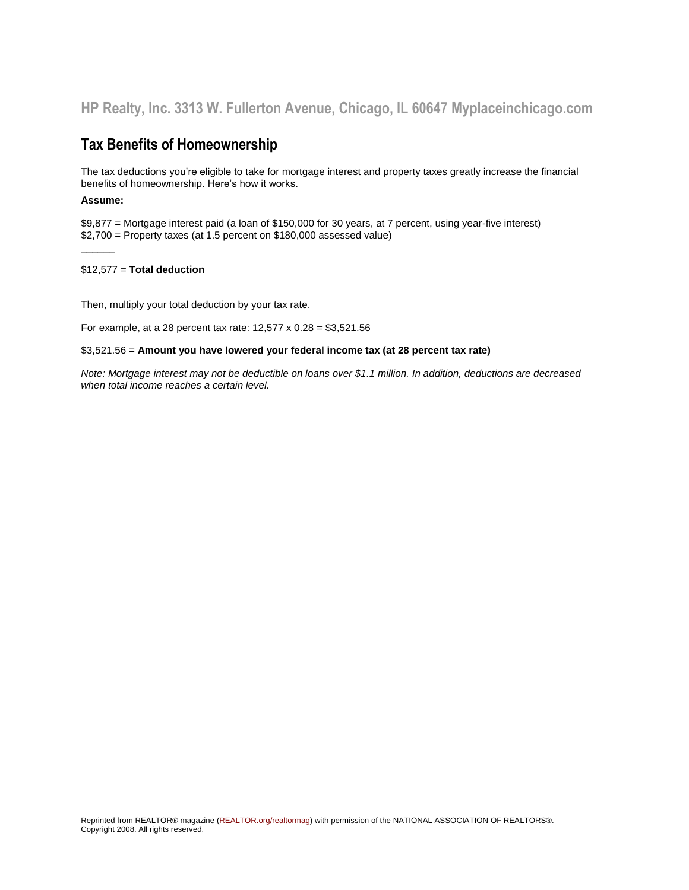### **Tax Benefits of Homeownership**

The tax deductions you're eligible to take for mortgage interest and property taxes greatly increase the financial benefits of homeownership. Here's how it works.

#### **Assume:**

 $\overline{\phantom{a}}$ 

\$9,877 = Mortgage interest paid (a loan of \$150,000 for 30 years, at 7 percent, using year-five interest) \$2,700 = Property taxes (at 1.5 percent on \$180,000 assessed value)

#### \$12,577 = **Total deduction**

Then, multiply your total deduction by your tax rate.

For example, at a 28 percent tax rate:  $12,577 \times 0.28 = $3,521.56$ 

\$3,521.56 = **Amount you have lowered your federal income tax (at 28 percent tax rate)**

*Note: Mortgage interest may not be deductible on loans over \$1.1 million. In addition, deductions are decreased when total income reaches a certain level.*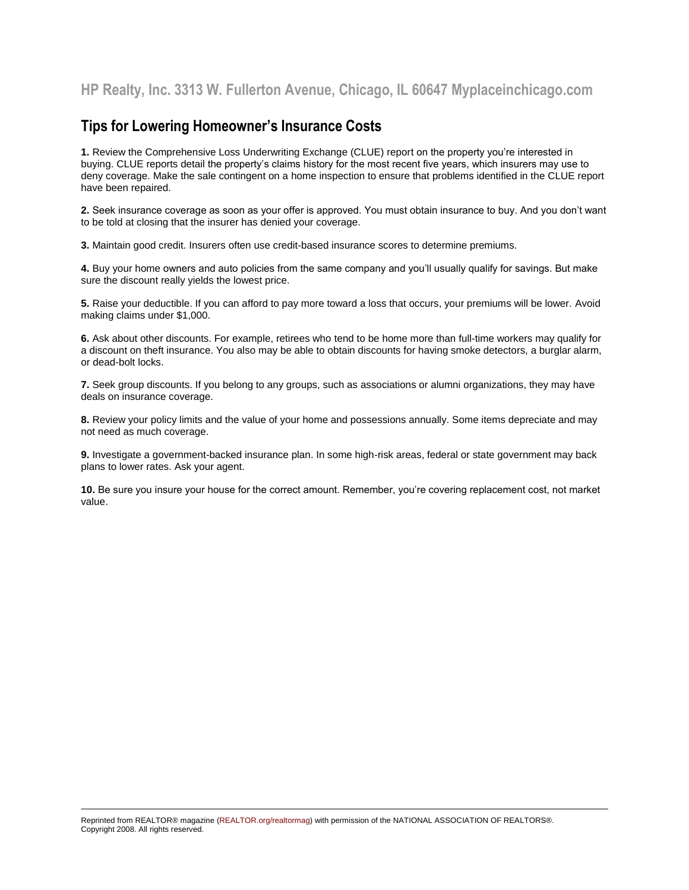# **Tips for Lowering Homeowner's Insurance Costs**

**1.** Review the Comprehensive Loss Underwriting Exchange (CLUE) report on the property you're interested in buying. CLUE reports detail the property's claims history for the most recent five years, which insurers may use to deny coverage. Make the sale contingent on a home inspection to ensure that problems identified in the CLUE report have been repaired.

**2.** Seek insurance coverage as soon as your offer is approved. You must obtain insurance to buy. And you don't want to be told at closing that the insurer has denied your coverage.

**3.** Maintain good credit. Insurers often use credit-based insurance scores to determine premiums.

**4.** Buy your home owners and auto policies from the same company and you'll usually qualify for savings. But make sure the discount really yields the lowest price.

**5.** Raise your deductible. If you can afford to pay more toward a loss that occurs, your premiums will be lower. Avoid making claims under \$1,000.

**6.** Ask about other discounts. For example, retirees who tend to be home more than full-time workers may qualify for a discount on theft insurance. You also may be able to obtain discounts for having smoke detectors, a burglar alarm, or dead-bolt locks.

**7.** Seek group discounts. If you belong to any groups, such as associations or alumni organizations, they may have deals on insurance coverage.

**8.** Review your policy limits and the value of your home and possessions annually. Some items depreciate and may not need as much coverage.

**9.** Investigate a government-backed insurance plan. In some high-risk areas, federal or state government may back plans to lower rates. Ask your agent.

**10.** Be sure you insure your house for the correct amount. Remember, you're covering replacement cost, not market value.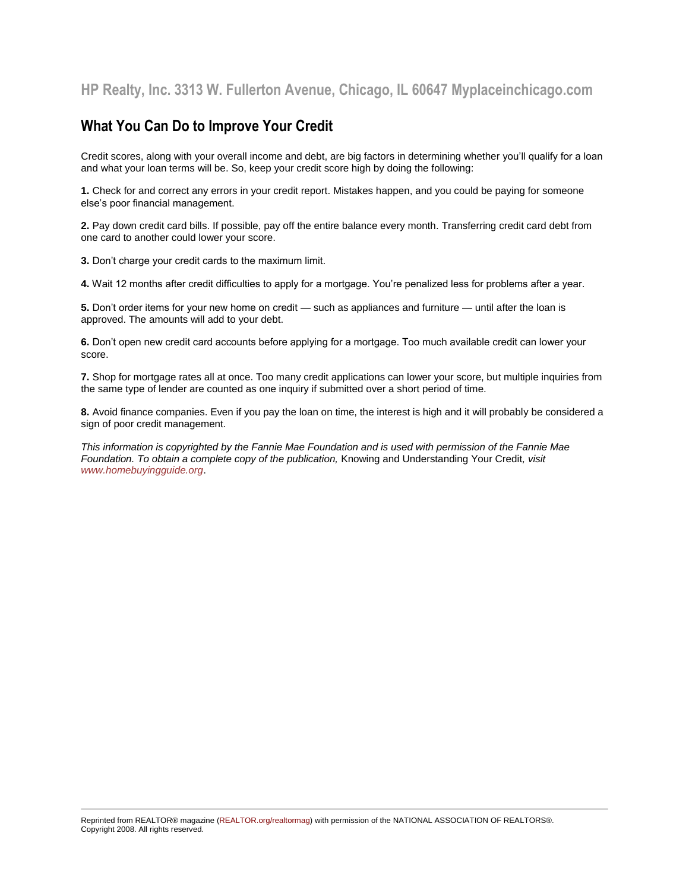### **What You Can Do to Improve Your Credit**

Credit scores, along with your overall income and debt, are big factors in determining whether you'll qualify for a loan and what your loan terms will be. So, keep your credit score high by doing the following:

**1.** Check for and correct any errors in your credit report. Mistakes happen, and you could be paying for someone else's poor financial management.

**2.** Pay down credit card bills. If possible, pay off the entire balance every month. Transferring credit card debt from one card to another could lower your score.

**3.** Don't charge your credit cards to the maximum limit.

**4.** Wait 12 months after credit difficulties to apply for a mortgage. You're penalized less for problems after a year.

**5.** Don't order items for your new home on credit — such as appliances and furniture — until after the loan is approved. The amounts will add to your debt.

**6.** Don't open new credit card accounts before applying for a mortgage. Too much available credit can lower your score.

**7.** Shop for mortgage rates all at once. Too many credit applications can lower your score, but multiple inquiries from the same type of lender are counted as one inquiry if submitted over a short period of time.

**8.** Avoid finance companies. Even if you pay the loan on time, the interest is high and it will probably be considered a sign of poor credit management.

*This information is copyrighted by the Fannie Mae Foundation and is used with permission of the Fannie Mae Foundation. To obtain a complete copy of the publication,* Knowing and Understanding Your Credit*, visit [www.homebuyingguide.org](http://www.homebuyingguide.org/)*.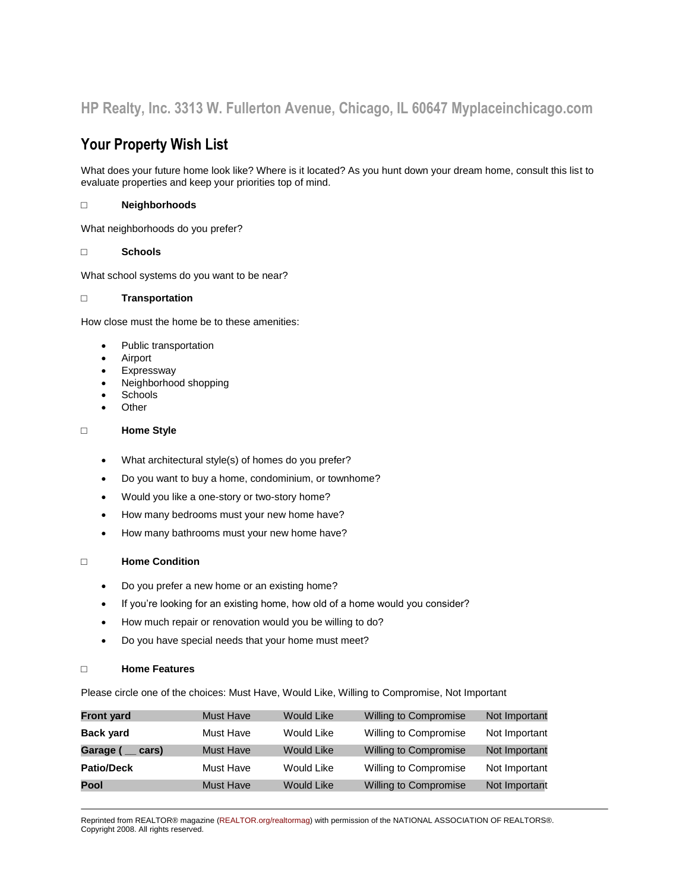# **Your Property Wish List**

What does your future home look like? Where is it located? As you hunt down your dream home, consult this list to evaluate properties and keep your priorities top of mind.

#### □ **Neighborhoods**

What neighborhoods do you prefer?

#### □ **Schools**

What school systems do you want to be near?

#### □ **Transportation**

How close must the home be to these amenities:

- Public transportation
- Airport
- Expressway
- Neighborhood shopping
- **Schools**
- **Other**

#### □ **Home Style**

- What architectural style(s) of homes do you prefer?
- Do you want to buy a home, condominium, or townhome?
- Would you like a one-story or two-story home?
- How many bedrooms must your new home have?
- How many bathrooms must your new home have?

#### □ **Home Condition**

- Do you prefer a new home or an existing home?
- If you're looking for an existing home, how old of a home would you consider?
- How much repair or renovation would you be willing to do?
- Do you have special needs that your home must meet?

#### □ **Home Features**

Please circle one of the choices: Must Have, Would Like, Willing to Compromise, Not Important

| <b>Front yard</b> | <b>Must Have</b> | <b>Would Like</b> | <b>Willing to Compromise</b> | Not Important |
|-------------------|------------------|-------------------|------------------------------|---------------|
| <b>Back yard</b>  | Must Have        | Would Like        | Willing to Compromise        | Not Important |
| Garage ( __ cars) | <b>Must Have</b> | <b>Would Like</b> | <b>Willing to Compromise</b> | Not Important |
| <b>Patio/Deck</b> | Must Have        | Would Like        | <b>Willing to Compromise</b> | Not Important |
| <b>Pool</b>       | <b>Must Have</b> | <b>Would Like</b> | <b>Willing to Compromise</b> | Not Important |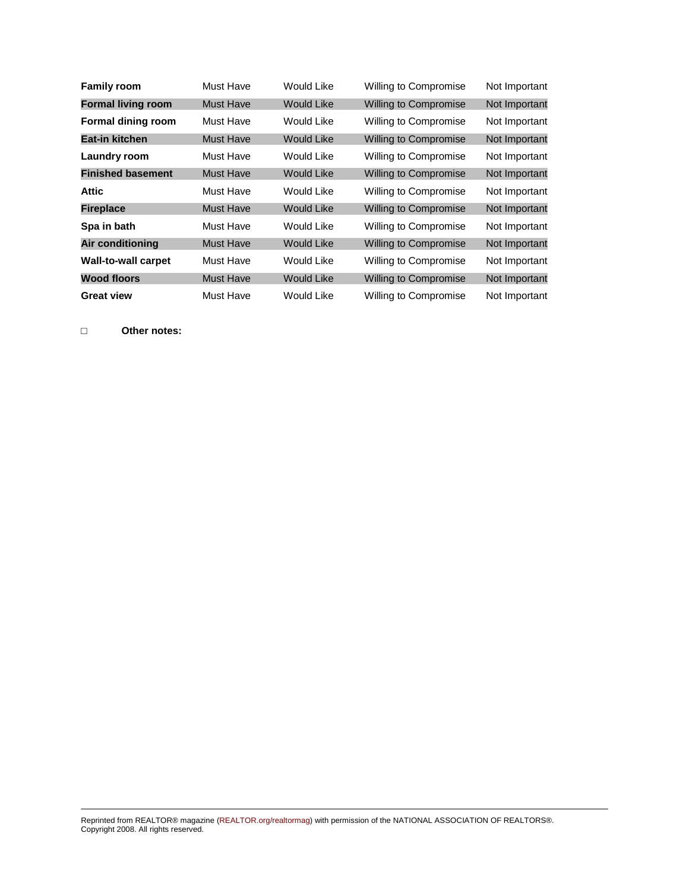| <b>Family room</b>         | Must Have        | Would Like        | <b>Willing to Compromise</b> | Not Important |
|----------------------------|------------------|-------------------|------------------------------|---------------|
| <b>Formal living room</b>  | Must Have        | <b>Would Like</b> | <b>Willing to Compromise</b> | Not Important |
| <b>Formal dining room</b>  | Must Have        | Would Like        | <b>Willing to Compromise</b> | Not Important |
| Eat-in kitchen             | <b>Must Have</b> | Would Like        | <b>Willing to Compromise</b> | Not Important |
| Laundry room               | Must Have        | Would Like        | Willing to Compromise        | Not Important |
| <b>Finished basement</b>   | Must Have        | <b>Would Like</b> | <b>Willing to Compromise</b> | Not Important |
| Attic                      | Must Have        | Would Like        | <b>Willing to Compromise</b> | Not Important |
| <b>Fireplace</b>           | Must Have        | <b>Would Like</b> | <b>Willing to Compromise</b> | Not Important |
| Spa in bath                | Must Have        | Would Like        | <b>Willing to Compromise</b> | Not Important |
| <b>Air conditioning</b>    | <b>Must Have</b> | Would Like        | <b>Willing to Compromise</b> | Not Important |
| <b>Wall-to-wall carpet</b> | Must Have        | Would Like        | <b>Willing to Compromise</b> | Not Important |
| <b>Wood floors</b>         | <b>Must Have</b> | Would Like        | <b>Willing to Compromise</b> | Not Important |
| <b>Great view</b>          | Must Have        | Would Like        | <b>Willing to Compromise</b> | Not Important |

□ **Other notes:**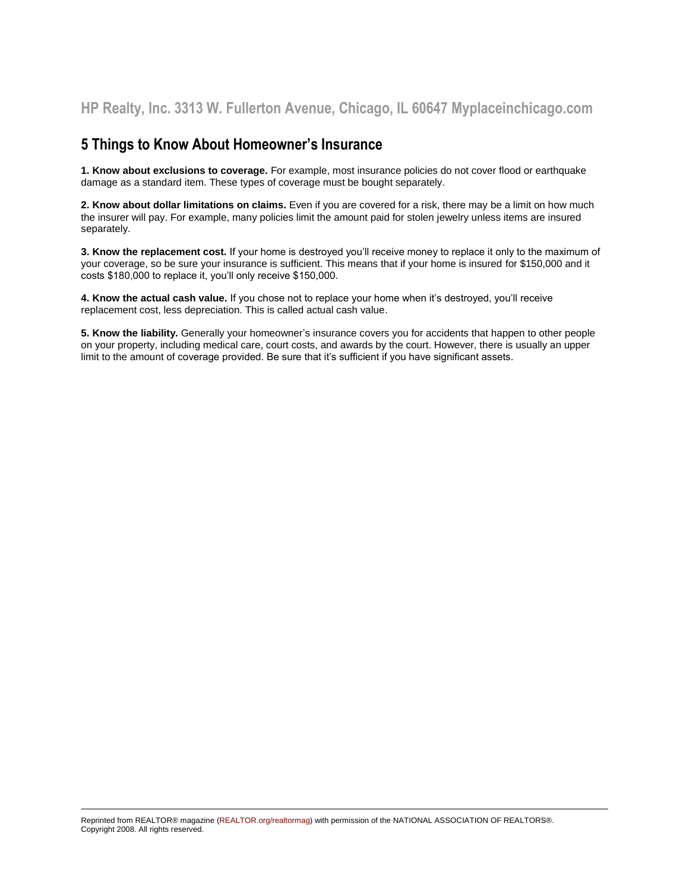### **5 Things to Know About Homeowner's Insurance**

**1. Know about exclusions to coverage.** For example, most insurance policies do not cover flood or earthquake damage as a standard item. These types of coverage must be bought separately.

**2. Know about dollar limitations on claims.** Even if you are covered for a risk, there may be a limit on how much the insurer will pay. For example, many policies limit the amount paid for stolen jewelry unless items are insured separately.

**3. Know the replacement cost.** If your home is destroyed you'll receive money to replace it only to the maximum of your coverage, so be sure your insurance is sufficient. This means that if your home is insured for \$150,000 and it costs \$180,000 to replace it, you'll only receive \$150,000.

**4. Know the actual cash value.** If you chose not to replace your home when it's destroyed, you'll receive replacement cost, less depreciation. This is called actual cash value.

**5. Know the liability.** Generally your homeowner's insurance covers you for accidents that happen to other people on your property, including medical care, court costs, and awards by the court. However, there is usually an upper limit to the amount of coverage provided. Be sure that it's sufficient if you have significant assets.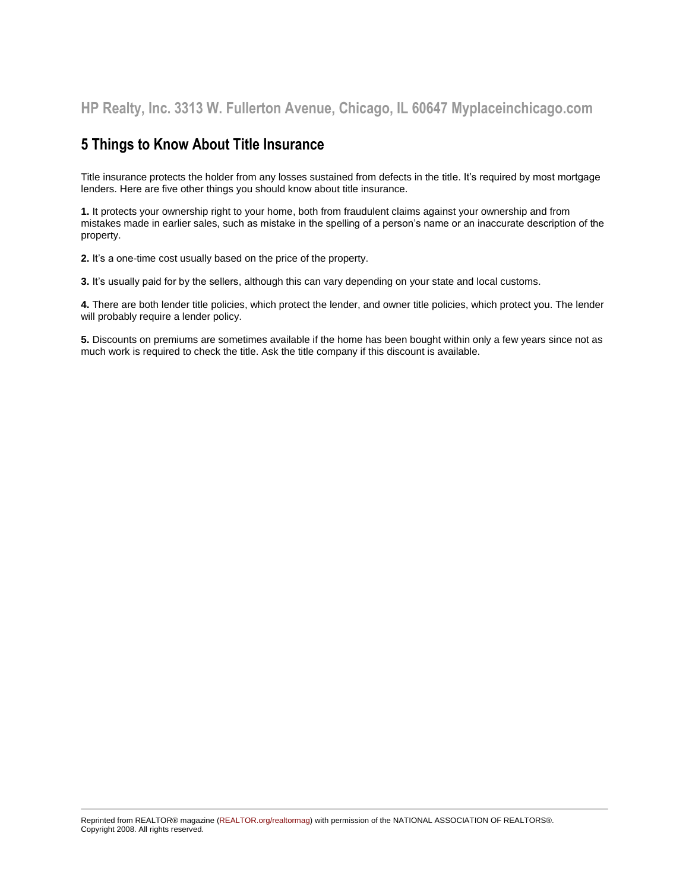# **5 Things to Know About Title Insurance**

Title insurance protects the holder from any losses sustained from defects in the title. It's required by most mortgage lenders. Here are five other things you should know about title insurance.

**1.** It protects your ownership right to your home, both from fraudulent claims against your ownership and from mistakes made in earlier sales, such as mistake in the spelling of a person's name or an inaccurate description of the property.

**2.** It's a one-time cost usually based on the price of the property.

**3.** It's usually paid for by the sellers, although this can vary depending on your state and local customs.

**4.** There are both lender title policies, which protect the lender, and owner title policies, which protect you. The lender will probably require a lender policy.

**5.** Discounts on premiums are sometimes available if the home has been bought within only a few years since not as much work is required to check the title. Ask the title company if this discount is available.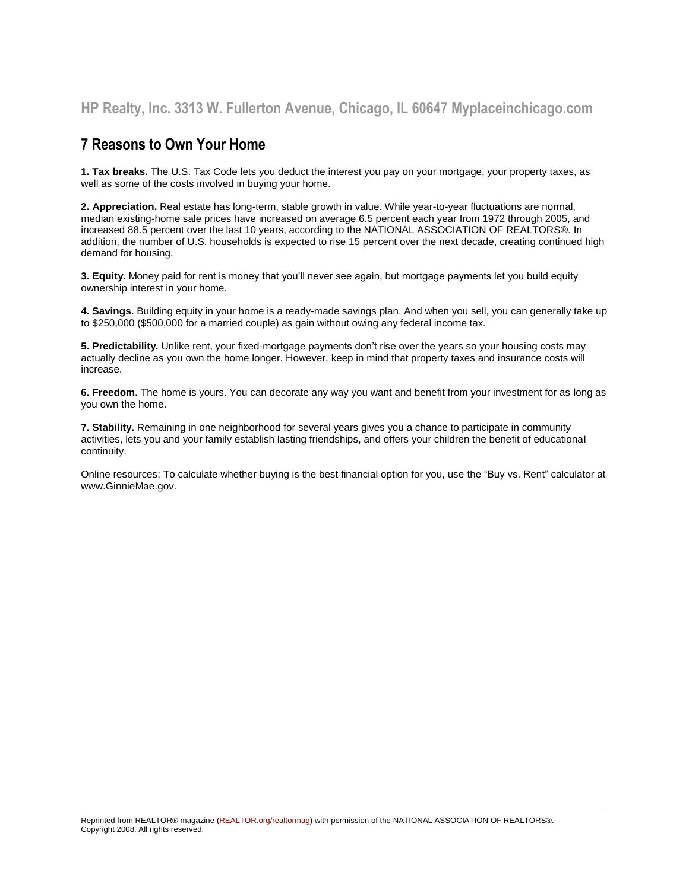### **7 Reasons to Own Your Home**

**1. Tax breaks.** The U.S. Tax Code lets you deduct the interest you pay on your mortgage, your property taxes, as well as some of the costs involved in buying your home.

**2. Appreciation.** Real estate has long-term, stable growth in value. While year-to-year fluctuations are normal, median existing-home sale prices have increased on average 6.5 percent each year from 1972 through 2005, and increased 88.5 percent over the last 10 years, according to the NATIONAL ASSOCIATION OF REALTORS®. In addition, the number of U.S. households is expected to rise 15 percent over the next decade, creating continued high demand for housing.

**3. Equity.** Money paid for rent is money that you'll never see again, but mortgage payments let you build equity ownership interest in your home.

**4. Savings.** Building equity in your home is a ready-made savings plan. And when you sell, you can generally take up to \$250,000 (\$500,000 for a married couple) as gain without owing any federal income tax.

**5. Predictability.** Unlike rent, your fixed-mortgage payments don't rise over the years so your housing costs may actually decline as you own the home longer. However, keep in mind that property taxes and insurance costs will increase.

**6. Freedom.** The home is yours. You can decorate any way you want and benefit from your investment for as long as you own the home.

**7. Stability.** Remaining in one neighborhood for several years gives you a chance to participate in community activities, lets you and your family establish lasting friendships, and offers your children the benefit of educational continuity.

Online resources: To calculate whether buying is the best financial option for you, use the "Buy vs. Rent" calculator at www.GinnieMae.gov.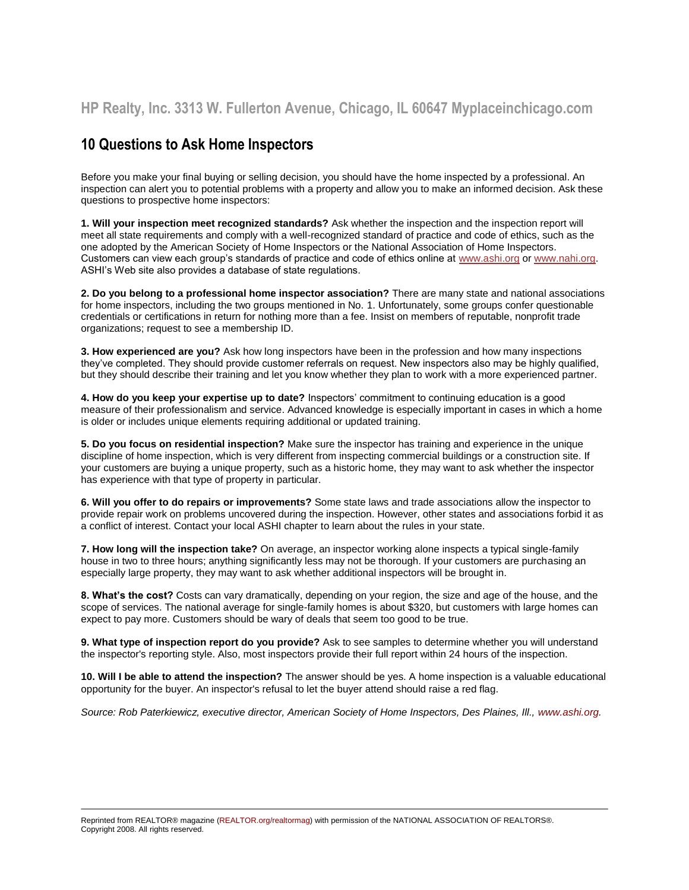# **10 Questions to Ask Home Inspectors**

Before you make your final buying or selling decision, you should have the home inspected by a professional. An inspection can alert you to potential problems with a property and allow you to make an informed decision. Ask these questions to prospective home inspectors:

**1. Will your inspection meet recognized standards?** Ask whether the inspection and the inspection report will meet all state requirements and comply with a well-recognized standard of practice and code of ethics, such as the one adopted by the American Society of Home Inspectors or the National Association of Home Inspectors. Customers can view each group's standards of practice and code of ethics online a[t www.ashi.org](http://www.ashi.org/) o[r www.nahi.org.](http://www.nahi.org/) ASHI's Web site also provides a database of state regulations.

**2. Do you belong to a professional home inspector association?** There are many state and national associations for home inspectors, including the two groups mentioned in No. 1. Unfortunately, some groups confer questionable credentials or certifications in return for nothing more than a fee. Insist on members of reputable, nonprofit trade organizations; request to see a membership ID.

**3. How experienced are you?** Ask how long inspectors have been in the profession and how many inspections they've completed. They should provide customer referrals on request. New inspectors also may be highly qualified, but they should describe their training and let you know whether they plan to work with a more experienced partner.

**4. How do you keep your expertise up to date?** Inspectors' commitment to continuing education is a good measure of their professionalism and service. Advanced knowledge is especially important in cases in which a home is older or includes unique elements requiring additional or updated training.

**5. Do you focus on residential inspection?** Make sure the inspector has training and experience in the unique discipline of home inspection, which is very different from inspecting commercial buildings or a construction site. If your customers are buying a unique property, such as a historic home, they may want to ask whether the inspector has experience with that type of property in particular.

**6. Will you offer to do repairs or improvements?** Some state laws and trade associations allow the inspector to provide repair work on problems uncovered during the inspection. However, other states and associations forbid it as a conflict of interest. Contact your local ASHI chapter to learn about the rules in your state.

**7. How long will the inspection take?** On average, an inspector working alone inspects a typical single-family house in two to three hours; anything significantly less may not be thorough. If your customers are purchasing an especially large property, they may want to ask whether additional inspectors will be brought in.

**8. What's the cost?** Costs can vary dramatically, depending on your region, the size and age of the house, and the scope of services. The national average for single-family homes is about \$320, but customers with large homes can expect to pay more. Customers should be wary of deals that seem too good to be true.

**9. What type of inspection report do you provide?** Ask to see samples to determine whether you will understand the inspector's reporting style. Also, most inspectors provide their full report within 24 hours of the inspection.

**10. Will I be able to attend the inspection?** The answer should be yes. A home inspection is a valuable educational opportunity for the buyer. An inspector's refusal to let the buyer attend should raise a red flag.

*Source: Rob Paterkiewicz, executive director, American Society of Home Inspectors, Des Plaines, Ill., www.ashi.org.*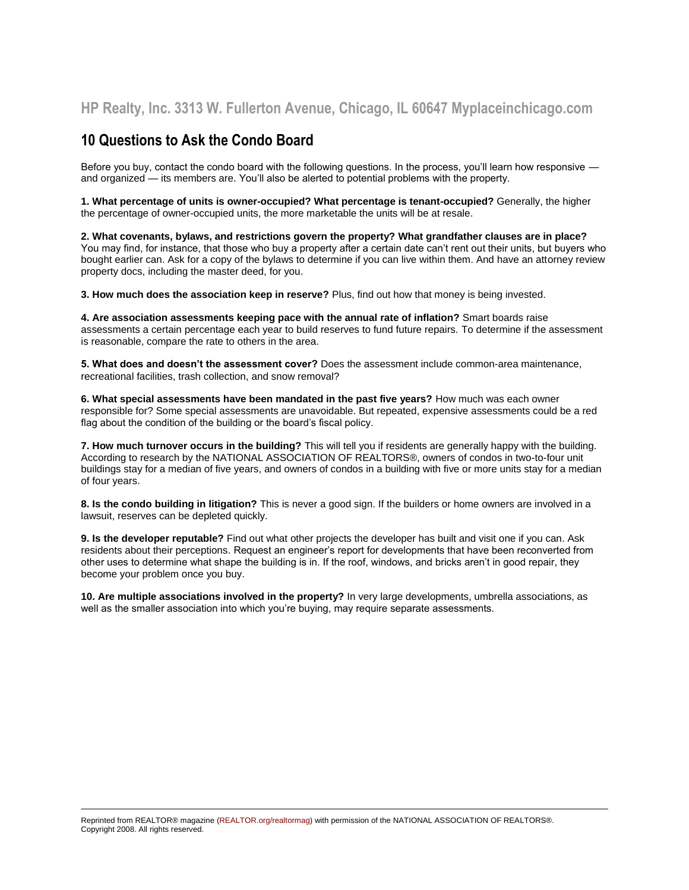### **10 Questions to Ask the Condo Board**

Before you buy, contact the condo board with the following questions. In the process, you'll learn how responsive and organized — its members are. You'll also be alerted to potential problems with the property.

**1. What percentage of units is owner-occupied? What percentage is tenant-occupied?** Generally, the higher the percentage of owner-occupied units, the more marketable the units will be at resale.

**2. What covenants, bylaws, and restrictions govern the property? What grandfather clauses are in place?** You may find, for instance, that those who buy a property after a certain date can't rent out their units, but buyers who bought earlier can. Ask for a copy of the bylaws to determine if you can live within them. And have an attorney review property docs, including the master deed, for you.

**3. How much does the association keep in reserve?** Plus, find out how that money is being invested.

**4. Are association assessments keeping pace with the annual rate of inflation?** Smart boards raise assessments a certain percentage each year to build reserves to fund future repairs. To determine if the assessment is reasonable, compare the rate to others in the area.

**5. What does and doesn't the assessment cover?** Does the assessment include common-area maintenance, recreational facilities, trash collection, and snow removal?

**6. What special assessments have been mandated in the past five years?** How much was each owner responsible for? Some special assessments are unavoidable. But repeated, expensive assessments could be a red flag about the condition of the building or the board's fiscal policy.

**7. How much turnover occurs in the building?** This will tell you if residents are generally happy with the building. According to research by the NATIONAL ASSOCIATION OF REALTORS®, owners of condos in two-to-four unit buildings stay for a median of five years, and owners of condos in a building with five or more units stay for a median of four years.

**8. Is the condo building in litigation?** This is never a good sign. If the builders or home owners are involved in a lawsuit, reserves can be depleted quickly.

**9. Is the developer reputable?** Find out what other projects the developer has built and visit one if you can. Ask residents about their perceptions. Request an engineer's report for developments that have been reconverted from other uses to determine what shape the building is in. If the roof, windows, and bricks aren't in good repair, they become your problem once you buy.

**10. Are multiple associations involved in the property?** In very large developments, umbrella associations, as well as the smaller association into which you're buying, may require separate assessments.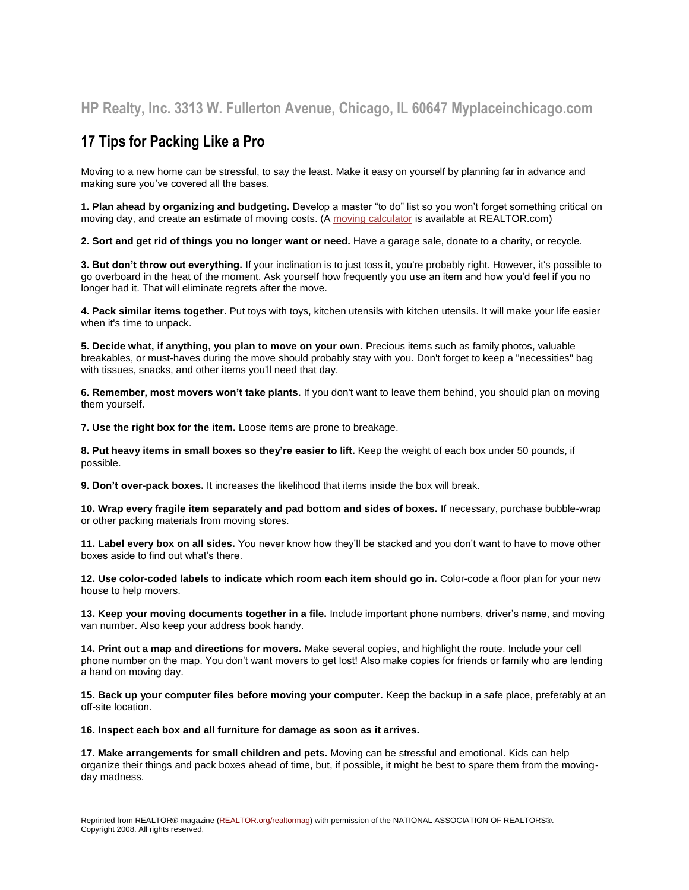# **17 Tips for Packing Like a Pro**

Moving to a new home can be stressful, to say the least. Make it easy on yourself by planning far in advance and making sure you've covered all the bases.

**1. Plan ahead by organizing and budgeting.** Develop a master "to do" list so you won't forget something critical on moving day, and create an estimate of moving costs. (A [moving calculator](http://www1.move.com/move/tools/movingcalc.asp?gate=realtor&poe=realtor&tran=vud) is available at REALTOR.com)

**2. Sort and get rid of things you no longer want or need.** Have a garage sale, donate to a charity, or recycle.

**3. But don't throw out everything.** If your inclination is to just toss it, you're probably right. However, it's possible to go overboard in the heat of the moment. Ask yourself how frequently you use an item and how you'd feel if you no longer had it. That will eliminate regrets after the move.

**4. Pack similar items together.** Put toys with toys, kitchen utensils with kitchen utensils. It will make your life easier when it's time to unpack.

**5. Decide what, if anything, you plan to move on your own.** Precious items such as family photos, valuable breakables, or must-haves during the move should probably stay with you. Don't forget to keep a "necessities" bag with tissues, snacks, and other items you'll need that day.

**6. Remember, most movers won't take plants.** If you don't want to leave them behind, you should plan on moving them yourself.

**7. Use the right box for the item.** Loose items are prone to breakage.

**8. Put heavy items in small boxes so they're easier to lift.** Keep the weight of each box under 50 pounds, if possible.

**9. Don't over-pack boxes.** It increases the likelihood that items inside the box will break.

**10. Wrap every fragile item separately and pad bottom and sides of boxes.** If necessary, purchase bubble-wrap or other packing materials from moving stores.

**11. Label every box on all sides.** You never know how they'll be stacked and you don't want to have to move other boxes aside to find out what's there.

**12. Use color-coded labels to indicate which room each item should go in.** Color-code a floor plan for your new house to help movers.

**13. Keep your moving documents together in a file.** Include important phone numbers, driver's name, and moving van number. Also keep your address book handy.

**14. Print out a map and directions for movers.** Make several copies, and highlight the route. Include your cell phone number on the map. You don't want movers to get lost! Also make copies for friends or family who are lending a hand on moving day.

**15. Back up your computer files before moving your computer.** Keep the backup in a safe place, preferably at an off-site location.

**16. Inspect each box and all furniture for damage as soon as it arrives.**

**17. Make arrangements for small children and pets.** Moving can be stressful and emotional. Kids can help organize their things and pack boxes ahead of time, but, if possible, it might be best to spare them from the movingday madness.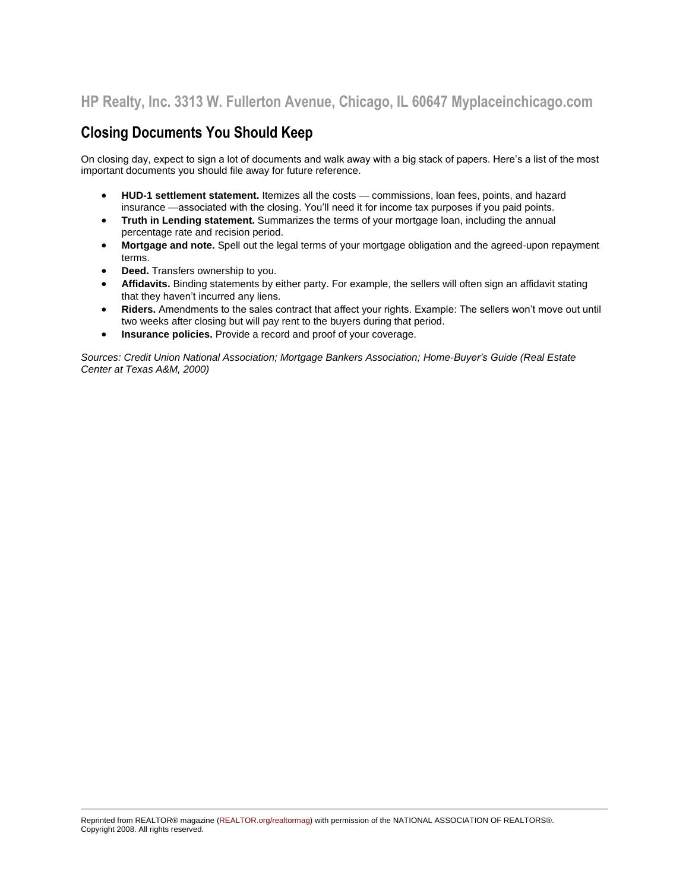# **Closing Documents You Should Keep**

On closing day, expect to sign a lot of documents and walk away with a big stack of papers. Here's a list of the most important documents you should file away for future reference.

- **HUD-1 settlement statement.** Itemizes all the costs commissions, loan fees, points, and hazard insurance —associated with the closing. You'll need it for income tax purposes if you paid points.
- **Truth in Lending statement.** Summarizes the terms of your mortgage loan, including the annual percentage rate and recision period.
- **Mortgage and note.** Spell out the legal terms of your mortgage obligation and the agreed-upon repayment terms.
- **Deed.** Transfers ownership to you.
- **Affidavits.** Binding statements by either party. For example, the sellers will often sign an affidavit stating that they haven't incurred any liens.
- **Riders.** Amendments to the sales contract that affect your rights. Example: The sellers won't move out until two weeks after closing but will pay rent to the buyers during that period.
- **Insurance policies.** Provide a record and proof of your coverage.

*Sources: Credit Union National Association; Mortgage Bankers Association; Home-Buyer's Guide (Real Estate Center at Texas A&M, 2000)*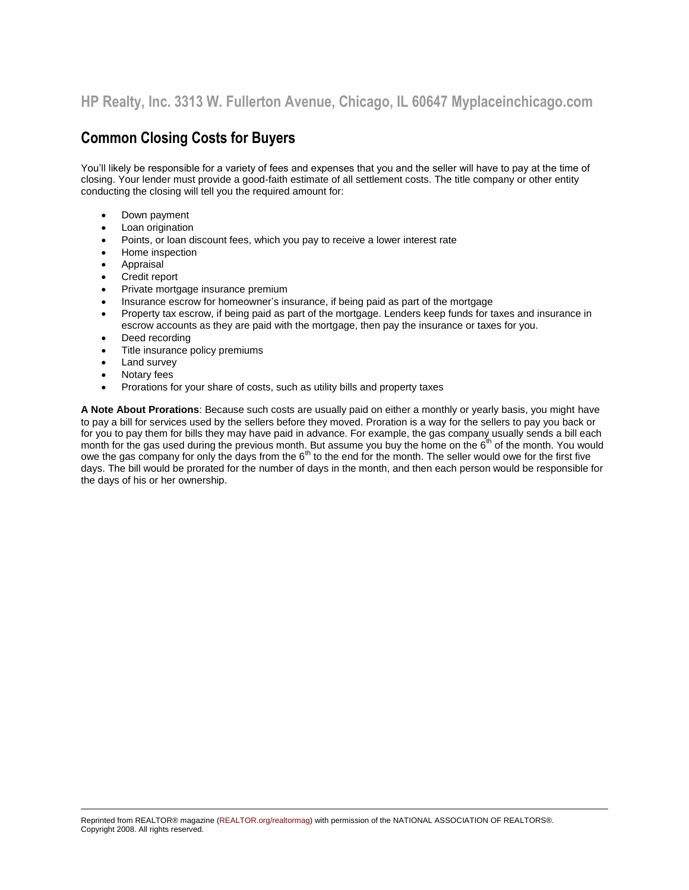### **Common Closing Costs for Buyers**

You'll likely be responsible for a variety of fees and expenses that you and the seller will have to pay at the time of closing. Your lender must provide a good-faith estimate of all settlement costs. The title company or other entity conducting the closing will tell you the required amount for:

- Down payment
- Loan origination
- Points, or loan discount fees, which you pay to receive a lower interest rate
- Home inspection
- Appraisal
- Credit report
- Private mortgage insurance premium
- Insurance escrow for homeowner's insurance, if being paid as part of the mortgage
- Property tax escrow, if being paid as part of the mortgage. Lenders keep funds for taxes and insurance in escrow accounts as they are paid with the mortgage, then pay the insurance or taxes for you.
- Deed recording
- Title insurance policy premiums
- Land survey
- Notary fees
- Prorations for your share of costs, such as utility bills and property taxes

**A Note About Prorations**: Because such costs are usually paid on either a monthly or yearly basis, you might have to pay a bill for services used by the sellers before they moved. Proration is a way for the sellers to pay you back or for you to pay them for bills they may have paid in advance. For example, the gas company usually sends a bill each month for the gas used during the previous month. But assume you buy the home on the  $6<sup>th</sup>$  of the month. You would owe the gas company for only the days from the  $6<sup>th</sup>$  to the end for the month. The seller would owe for the first five days. The bill would be prorated for the number of days in the month, and then each person would be responsible for the days of his or her ownership.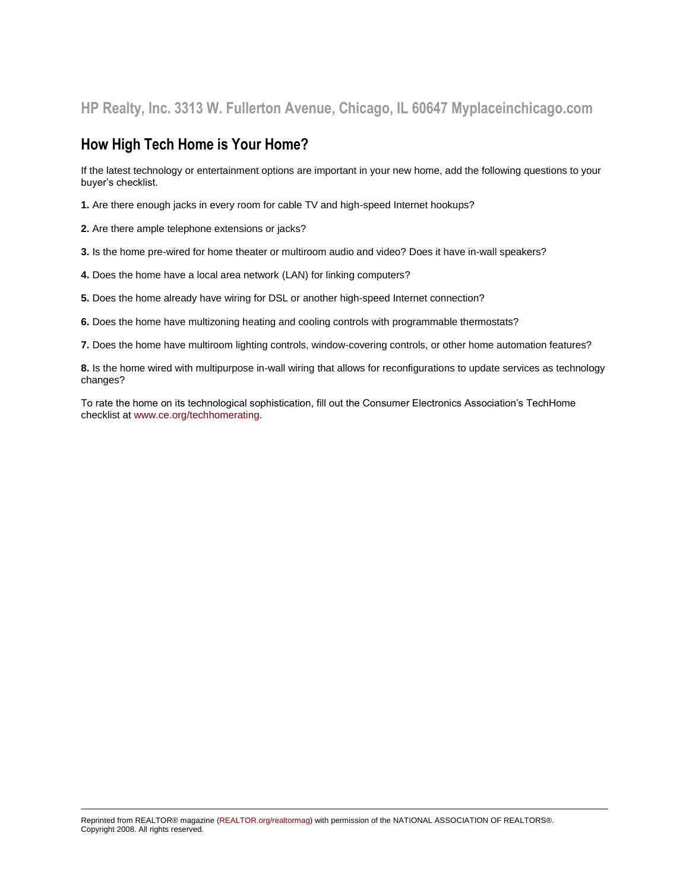# **How High Tech Home is Your Home?**

If the latest technology or entertainment options are important in your new home, add the following questions to your buyer's checklist.

**1.** Are there enough jacks in every room for cable TV and high-speed Internet hookups?

- **2.** Are there ample telephone extensions or jacks?
- **3.** Is the home pre-wired for home theater or multiroom audio and video? Does it have in-wall speakers?
- **4.** Does the home have a local area network (LAN) for linking computers?
- **5.** Does the home already have wiring for DSL or another high-speed Internet connection?
- **6.** Does the home have multizoning heating and cooling controls with programmable thermostats?
- **7.** Does the home have multiroom lighting controls, window-covering controls, or other home automation features?

**8.** Is the home wired with multipurpose in-wall wiring that allows for reconfigurations to update services as technology changes?

To rate the home on its technological sophistication, fill out the Consumer Electronics Association's TechHome checklist at [www.ce.org/techhomerating.](http://www.ce.org/techhomerating)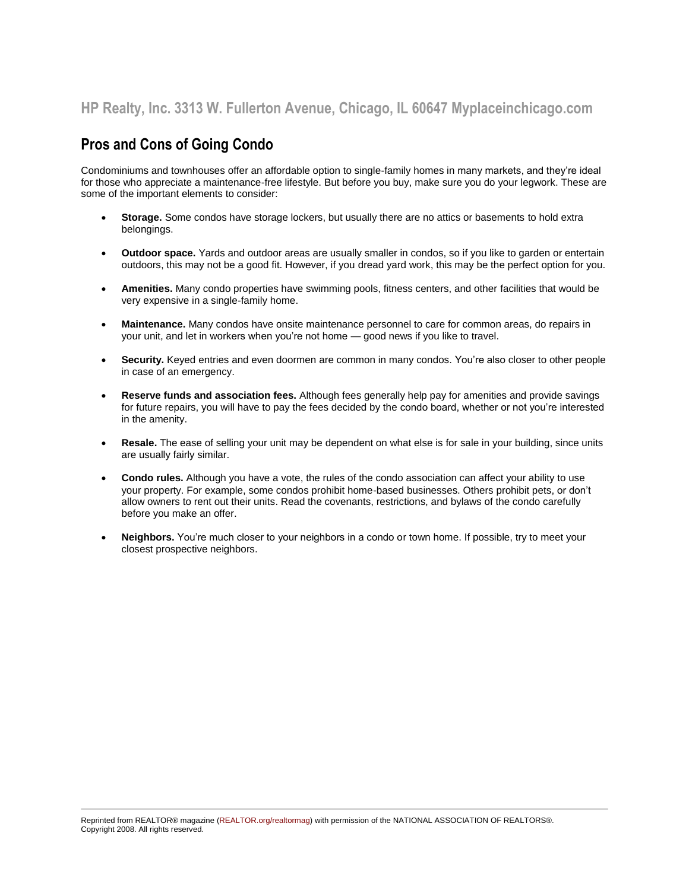# **Pros and Cons of Going Condo**

Condominiums and townhouses offer an affordable option to single-family homes in many markets, and they're ideal for those who appreciate a maintenance-free lifestyle. But before you buy, make sure you do your legwork. These are some of the important elements to consider:

- **Storage.** Some condos have storage lockers, but usually there are no attics or basements to hold extra belongings.
- **Outdoor space.** Yards and outdoor areas are usually smaller in condos, so if you like to garden or entertain outdoors, this may not be a good fit. However, if you dread yard work, this may be the perfect option for you.
- **Amenities.** Many condo properties have swimming pools, fitness centers, and other facilities that would be very expensive in a single-family home.
- **Maintenance.** Many condos have onsite maintenance personnel to care for common areas, do repairs in your unit, and let in workers when you're not home — good news if you like to travel.
- **Security.** Keyed entries and even doormen are common in many condos. You're also closer to other people in case of an emergency.
- **Reserve funds and association fees.** Although fees generally help pay for amenities and provide savings for future repairs, you will have to pay the fees decided by the condo board, whether or not you're interested in the amenity.
- **Resale.** The ease of selling your unit may be dependent on what else is for sale in your building, since units are usually fairly similar.
- **Condo rules.** Although you have a vote, the rules of the condo association can affect your ability to use your property. For example, some condos prohibit home-based businesses. Others prohibit pets, or don't allow owners to rent out their units. Read the covenants, restrictions, and bylaws of the condo carefully before you make an offer.
- **Neighbors.** You're much closer to your neighbors in a condo or town home. If possible, try to meet your closest prospective neighbors.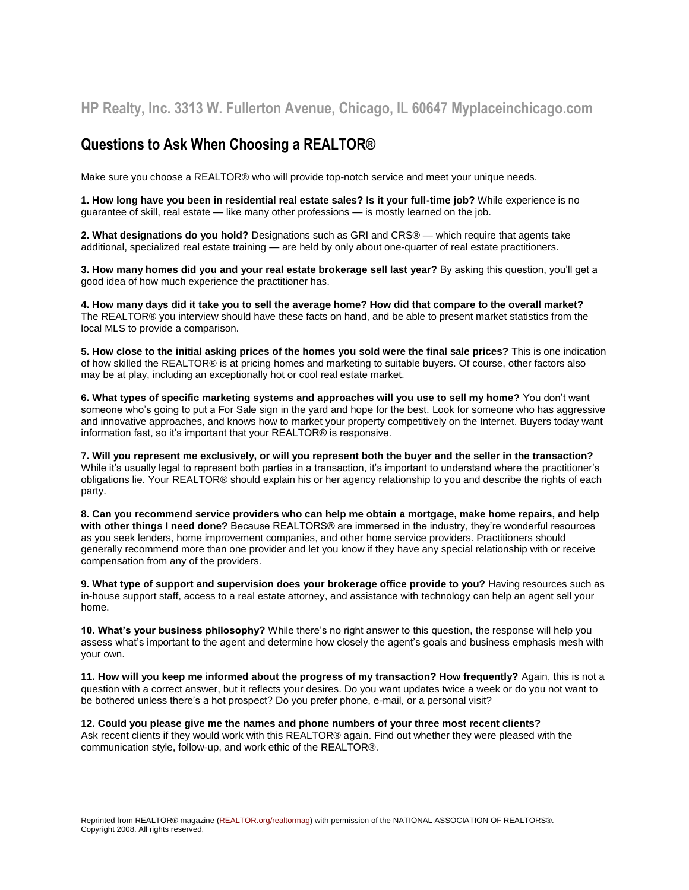# **Questions to Ask When Choosing a REALTOR®**

Make sure you choose a REALTOR® who will provide top-notch service and meet your unique needs.

**1. How long have you been in residential real estate sales? Is it your full-time job?** While experience is no guarantee of skill, real estate — like many other professions — is mostly learned on the job.

**2. What designations do you hold?** Designations such as GRI and CRS® — which require that agents take additional, specialized real estate training — are held by only about one-quarter of real estate practitioners.

**3. How many homes did you and your real estate brokerage sell last year?** By asking this question, you'll get a good idea of how much experience the practitioner has.

**4. How many days did it take you to sell the average home? How did that compare to the overall market?** The REALTOR® you interview should have these facts on hand, and be able to present market statistics from the local MLS to provide a comparison.

**5. How close to the initial asking prices of the homes you sold were the final sale prices?** This is one indication of how skilled the REALTOR® is at pricing homes and marketing to suitable buyers. Of course, other factors also may be at play, including an exceptionally hot or cool real estate market.

**6. What types of specific marketing systems and approaches will you use to sell my home?** You don't want someone who's going to put a For Sale sign in the yard and hope for the best. Look for someone who has aggressive and innovative approaches, and knows how to market your property competitively on the Internet. Buyers today want information fast, so it's important that your REALTOR® is responsive.

**7. Will you represent me exclusively, or will you represent both the buyer and the seller in the transaction?** While it's usually legal to represent both parties in a transaction, it's important to understand where the practitioner's obligations lie. Your REALTOR® should explain his or her agency relationship to you and describe the rights of each party.

**8. Can you recommend service providers who can help me obtain a mortgage, make home repairs, and help with other things I need done?** Because REALTORS® are immersed in the industry, they're wonderful resources as you seek lenders, home improvement companies, and other home service providers. Practitioners should generally recommend more than one provider and let you know if they have any special relationship with or receive compensation from any of the providers.

**9. What type of support and supervision does your brokerage office provide to you?** Having resources such as in-house support staff, access to a real estate attorney, and assistance with technology can help an agent sell your home.

**10. What's your business philosophy?** While there's no right answer to this question, the response will help you assess what's important to the agent and determine how closely the agent's goals and business emphasis mesh with your own.

**11. How will you keep me informed about the progress of my transaction? How frequently?** Again, this is not a question with a correct answer, but it reflects your desires. Do you want updates twice a week or do you not want to be bothered unless there's a hot prospect? Do you prefer phone, e-mail, or a personal visit?

**12. Could you please give me the names and phone numbers of your three most recent clients?** Ask recent clients if they would work with this REALTOR® again. Find out whether they were pleased with the communication style, follow-up, and work ethic of the REALTOR®.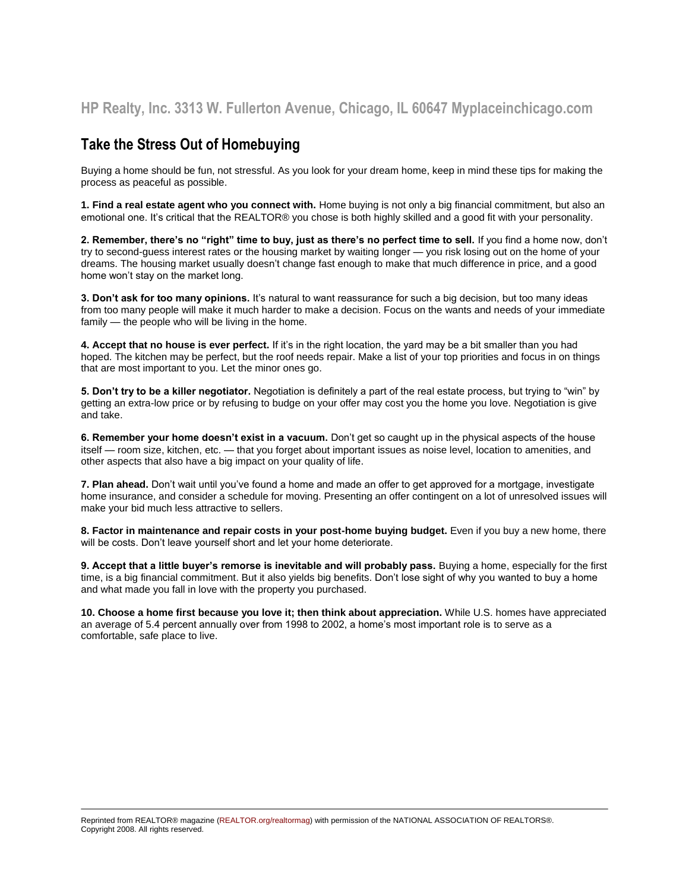# **Take the Stress Out of Homebuying**

Buying a home should be fun, not stressful. As you look for your dream home, keep in mind these tips for making the process as peaceful as possible.

**1. Find a real estate agent who you connect with.** Home buying is not only a big financial commitment, but also an emotional one. It's critical that the REALTOR® you chose is both highly skilled and a good fit with your personality.

**2. Remember, there's no "right" time to buy, just as there's no perfect time to sell.** If you find a home now, don't try to second-guess interest rates or the housing market by waiting longer — you risk losing out on the home of your dreams. The housing market usually doesn't change fast enough to make that much difference in price, and a good home won't stay on the market long.

**3. Don't ask for too many opinions.** It's natural to want reassurance for such a big decision, but too many ideas from too many people will make it much harder to make a decision. Focus on the wants and needs of your immediate family — the people who will be living in the home.

**4. Accept that no house is ever perfect.** If it's in the right location, the yard may be a bit smaller than you had hoped. The kitchen may be perfect, but the roof needs repair. Make a list of your top priorities and focus in on things that are most important to you. Let the minor ones go.

**5. Don't try to be a killer negotiator.** Negotiation is definitely a part of the real estate process, but trying to "win" by getting an extra-low price or by refusing to budge on your offer may cost you the home you love. Negotiation is give and take.

**6. Remember your home doesn't exist in a vacuum.** Don't get so caught up in the physical aspects of the house itself — room size, kitchen, etc. — that you forget about important issues as noise level, location to amenities, and other aspects that also have a big impact on your quality of life.

**7. Plan ahead.** Don't wait until you've found a home and made an offer to get approved for a mortgage, investigate home insurance, and consider a schedule for moving. Presenting an offer contingent on a lot of unresolved issues will make your bid much less attractive to sellers.

**8. Factor in maintenance and repair costs in your post-home buying budget.** Even if you buy a new home, there will be costs. Don't leave yourself short and let your home deteriorate.

**9. Accept that a little buyer's remorse is inevitable and will probably pass.** Buying a home, especially for the first time, is a big financial commitment. But it also yields big benefits. Don't lose sight of why you wanted to buy a home and what made you fall in love with the property you purchased.

**10. Choose a home first because you love it; then think about appreciation.** While U.S. homes have appreciated an average of 5.4 percent annually over from 1998 to 2002, a home's most important role is to serve as a comfortable, safe place to live.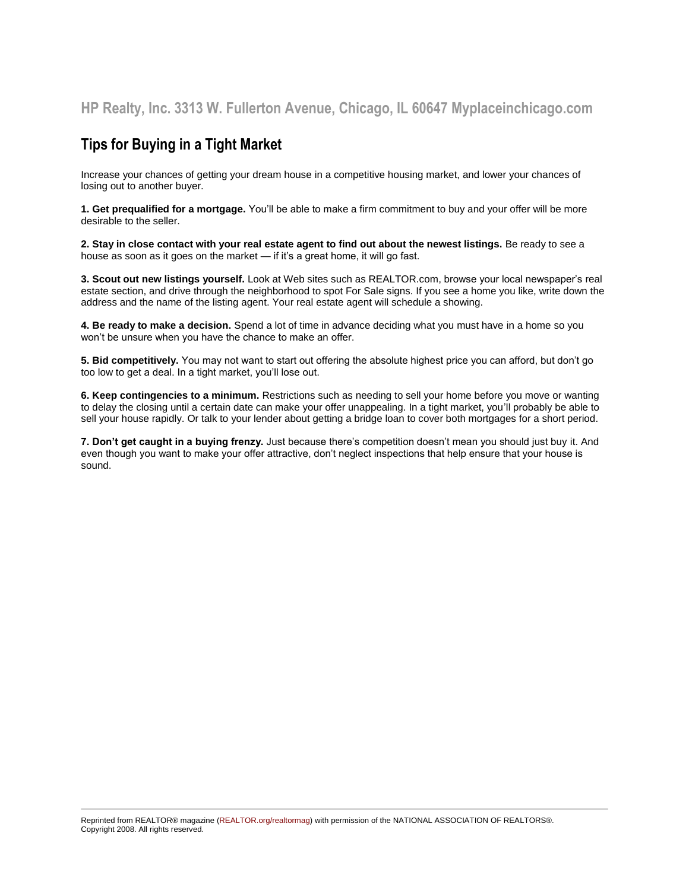# **Tips for Buying in a Tight Market**

Increase your chances of getting your dream house in a competitive housing market, and lower your chances of losing out to another buyer.

**1. Get prequalified for a mortgage.** You'll be able to make a firm commitment to buy and your offer will be more desirable to the seller.

**2. Stay in close contact with your real estate agent to find out about the newest listings.** Be ready to see a house as soon as it goes on the market — if it's a great home, it will go fast.

**3. Scout out new listings yourself.** Look at Web sites such as REALTOR.com, browse your local newspaper's real estate section, and drive through the neighborhood to spot For Sale signs. If you see a home you like, write down the address and the name of the listing agent. Your real estate agent will schedule a showing.

**4. Be ready to make a decision.** Spend a lot of time in advance deciding what you must have in a home so you won't be unsure when you have the chance to make an offer.

**5. Bid competitively.** You may not want to start out offering the absolute highest price you can afford, but don't go too low to get a deal. In a tight market, you'll lose out.

**6. Keep contingencies to a minimum.** Restrictions such as needing to sell your home before you move or wanting to delay the closing until a certain date can make your offer unappealing. In a tight market, you'll probably be able to sell your house rapidly. Or talk to your lender about getting a bridge loan to cover both mortgages for a short period.

**7. Don't get caught in a buying frenzy.** Just because there's competition doesn't mean you should just buy it. And even though you want to make your offer attractive, don't neglect inspections that help ensure that your house is sound.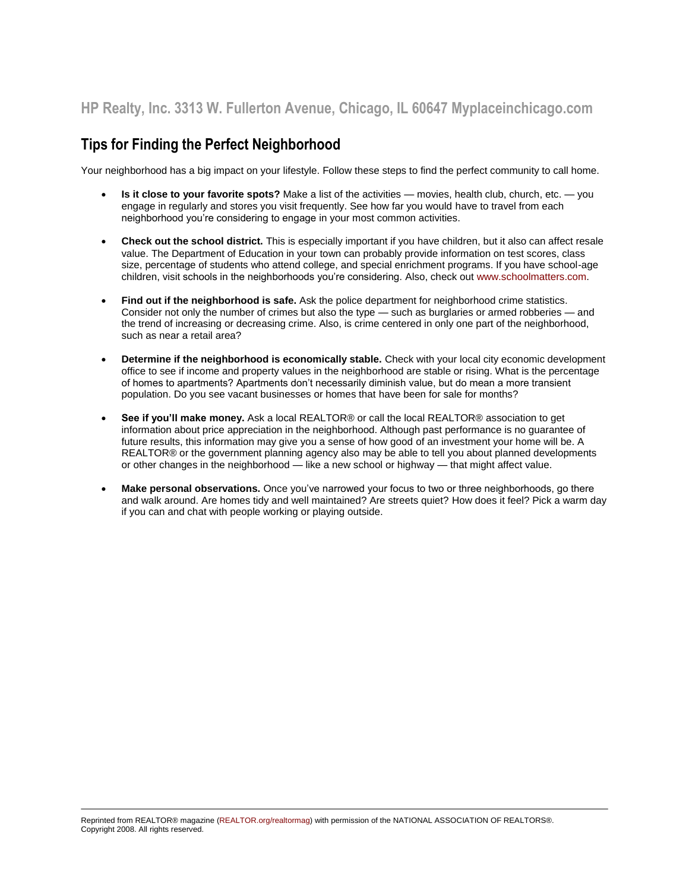# **Tips for Finding the Perfect Neighborhood**

Your neighborhood has a big impact on your lifestyle. Follow these steps to find the perfect community to call home.

- **Is it close to your favorite spots?** Make a list of the activities movies, health club, church, etc. you engage in regularly and stores you visit frequently. See how far you would have to travel from each neighborhood you're considering to engage in your most common activities.
- **Check out the school district.** This is especially important if you have children, but it also can affect resale value. The Department of Education in your town can probably provide information on test scores, class size, percentage of students who attend college, and special enrichment programs. If you have school-age children, visit schools in the neighborhoods you're considering. Also, check out www.schoolmatters.com.
- **Find out if the neighborhood is safe.** Ask the police department for neighborhood crime statistics. Consider not only the number of crimes but also the type — such as burglaries or armed robberies — and the trend of increasing or decreasing crime. Also, is crime centered in only one part of the neighborhood, such as near a retail area?
- **Determine if the neighborhood is economically stable.** Check with your local city economic development office to see if income and property values in the neighborhood are stable or rising. What is the percentage of homes to apartments? Apartments don't necessarily diminish value, but do mean a more transient population. Do you see vacant businesses or homes that have been for sale for months?
- **See if you'll make money.** Ask a local REALTOR® or call the local REALTOR® association to get information about price appreciation in the neighborhood. Although past performance is no guarantee of future results, this information may give you a sense of how good of an investment your home will be. A REALTOR® or the government planning agency also may be able to tell you about planned developments or other changes in the neighborhood — like a new school or highway — that might affect value.
- **Make personal observations.** Once you've narrowed your focus to two or three neighborhoods, go there and walk around. Are homes tidy and well maintained? Are streets quiet? How does it feel? Pick a warm day if you can and chat with people working or playing outside.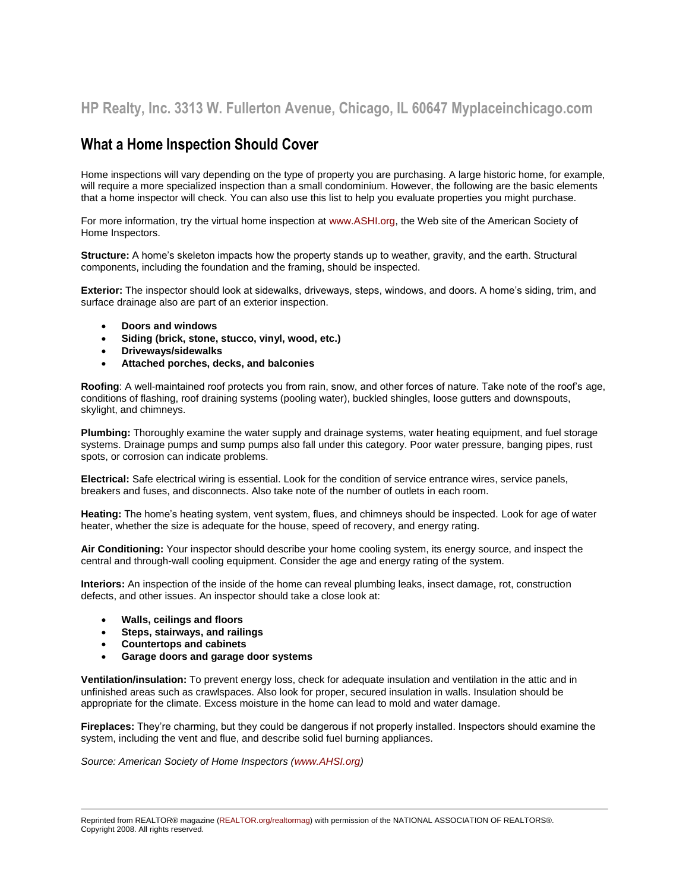# **What a Home Inspection Should Cover**

Home inspections will vary depending on the type of property you are purchasing. A large historic home, for example, will require a more specialized inspection than a small condominium. However, the following are the basic elements that a home inspector will check. You can also use this list to help you evaluate properties you might purchase.

For more information, try the virtual home inspection at [www.ASHI.org,](http://www.ashi.org/) the Web site of the American Society of Home Inspectors.

**Structure:** A home's skeleton impacts how the property stands up to weather, gravity, and the earth. Structural components, including the foundation and the framing, should be inspected.

**Exterior:** The inspector should look at sidewalks, driveways, steps, windows, and doors. A home's siding, trim, and surface drainage also are part of an exterior inspection.

- **Doors and windows**
- **Siding (brick, stone, stucco, vinyl, wood, etc.)**
- **Driveways/sidewalks**
- **Attached porches, decks, and balconies**

**Roofing**: A well-maintained roof protects you from rain, snow, and other forces of nature. Take note of the roof's age, conditions of flashing, roof draining systems (pooling water), buckled shingles, loose gutters and downspouts, skylight, and chimneys.

**Plumbing:** Thoroughly examine the water supply and drainage systems, water heating equipment, and fuel storage systems. Drainage pumps and sump pumps also fall under this category. Poor water pressure, banging pipes, rust spots, or corrosion can indicate problems.

**Electrical:** Safe electrical wiring is essential. Look for the condition of service entrance wires, service panels, breakers and fuses, and disconnects. Also take note of the number of outlets in each room.

**Heating:** The home's heating system, vent system, flues, and chimneys should be inspected. Look for age of water heater, whether the size is adequate for the house, speed of recovery, and energy rating.

**Air Conditioning:** Your inspector should describe your home cooling system, its energy source, and inspect the central and through-wall cooling equipment. Consider the age and energy rating of the system.

**Interiors:** An inspection of the inside of the home can reveal plumbing leaks, insect damage, rot, construction defects, and other issues. An inspector should take a close look at:

- **Walls, ceilings and floors**
- **Steps, stairways, and railings**
- **Countertops and cabinets**
- **Garage doors and garage door systems**

**Ventilation/insulation:** To prevent energy loss, check for adequate insulation and ventilation in the attic and in unfinished areas such as crawlspaces. Also look for proper, secured insulation in walls. Insulation should be appropriate for the climate. Excess moisture in the home can lead to mold and water damage.

**Fireplaces:** They're charming, but they could be dangerous if not properly installed. Inspectors should examine the system, including the vent and flue, and describe solid fuel burning appliances.

*Source: American Society of Home Inspectors (www.AHSI.org)*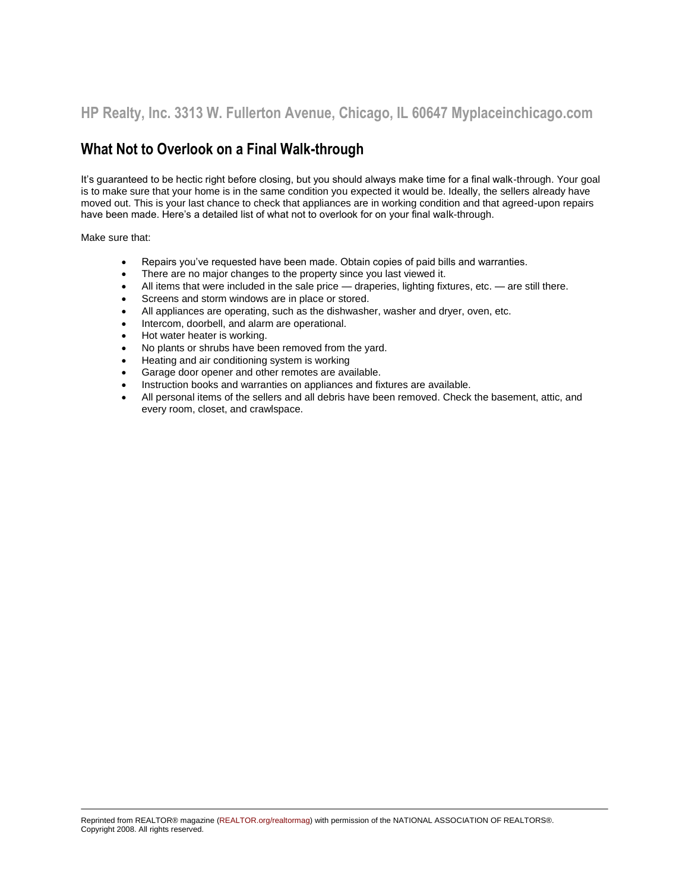# **What Not to Overlook on a Final Walk-through**

It's guaranteed to be hectic right before closing, but you should always make time for a final walk-through. Your goal is to make sure that your home is in the same condition you expected it would be. Ideally, the sellers already have moved out. This is your last chance to check that appliances are in working condition and that agreed-upon repairs have been made. Here's a detailed list of what not to overlook for on your final walk-through.

Make sure that:

- Repairs you've requested have been made. Obtain copies of paid bills and warranties.
- There are no major changes to the property since you last viewed it.
- All items that were included in the sale price draperies, lighting fixtures, etc. are still there.
- Screens and storm windows are in place or stored.
- All appliances are operating, such as the dishwasher, washer and dryer, oven, etc.
- Intercom, doorbell, and alarm are operational.
- Hot water heater is working.
- No plants or shrubs have been removed from the yard.
- Heating and air conditioning system is working
- Garage door opener and other remotes are available.
- Instruction books and warranties on appliances and fixtures are available.
- All personal items of the sellers and all debris have been removed. Check the basement, attic, and every room, closet, and crawlspace.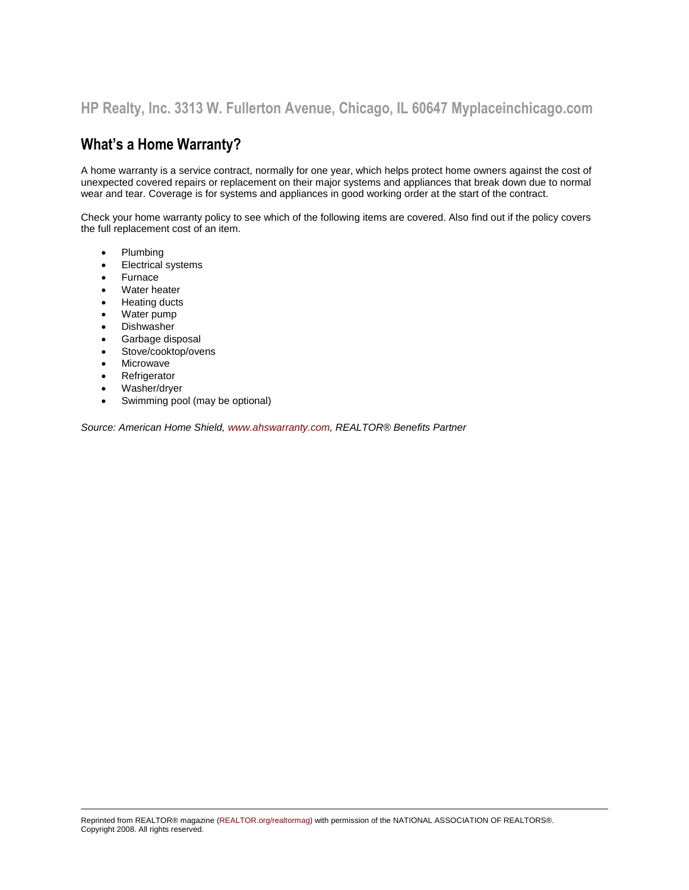# **What's a Home Warranty?**

A home warranty is a service contract, normally for one year, which helps protect home owners against the cost of unexpected covered repairs or replacement on their major systems and appliances that break down due to normal wear and tear. Coverage is for systems and appliances in good working order at the start of the contract.

Check your home warranty policy to see which of the following items are covered. Also find out if the policy covers the full replacement cost of an item.

- Plumbing
- Electrical systems
- Furnace
- Water heater
- Heating ducts
- Water pump
- Dishwasher
- Garbage disposal
- Stove/cooktop/ovens
- Microwave
- Refrigerator
- Washer/dryer
- Swimming pool (may be optional)

*Source: American Home Shield[, www.ahswarranty.com,](http://www.ahswarranty.com/) REALTOR® Benefits Partner*